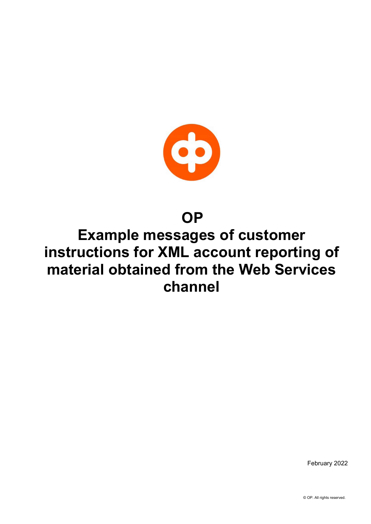

# **OP**

# Example messages of customer instructions for XML account reporting of material obtained from the Web Services channel

February 2022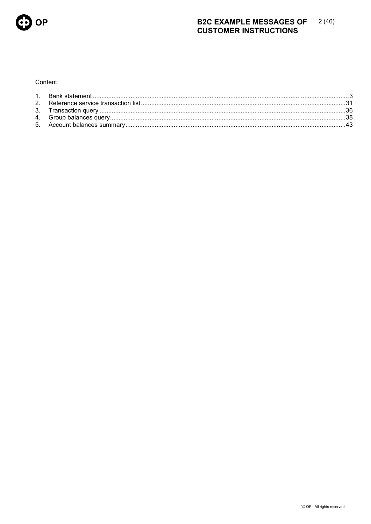

### **B2C EXAMPLE MESSAGES OF**  $2(46)$ **CUSTOMER INSTRUCTIONS**

## Content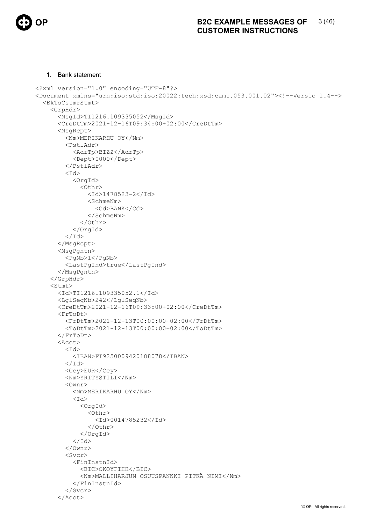

## 1. Bank statement

```
<?xml version="1.0" encoding="UTF-8"?> 
<Document xmlns="urn:iso:std:iso:20022:tech:xsd:camt.053.001.02"><!--Versio 1.4--> 
   <BkToCstmrStmt> 
     <GrpHdr> 
        <MsgId>TI1216.109335052</MsgId> 
        <CreDtTm>2021-12-16T09:34:00+02:00</CreDtTm> 
        <MsgRcpt> 
          <Nm>MERIKARHU OY</Nm> 
          <PstlAdr> 
            <AdrTp>BIZZ</AdrTp> 
            <Dept>0000</Dept> 
          </PstlAdr> 
         <Id>
            <OrgId> 
               <Othr> 
                 <Id>1478523-2</Id> 
                 <SchmeNm> 
                   <Cd>BANK</Cd> 
                 </SchmeNm> 
               </Othr> 
            </OrgId> 
         \langle/Id>
        </MsgRcpt> 
        <MsgPgntn> 
          <PgNb>1</PgNb> 
          <LastPgInd>true</LastPgInd> 
        </MsgPgntn> 
     </GrpHdr> 
     <Stmt> 
        <Id>TI1216.109335052.1</Id> 
        <LglSeqNb>242</LglSeqNb> 
        <CreDtTm>2021-12-16T09:33:00+02:00</CreDtTm> 
        <FrToDt> 
          <FrDtTm>2021-12-13T00:00:00+02:00</FrDtTm> 
          <ToDtTm>2021-12-13T00:00:00+02:00</ToDtTm> 
        </FrToDt> 
        <Acct> 
         <Id>
            <IBAN>FI9250009420108078</IBAN> 
         \langle /Id \rangle <Ccy>EUR</Ccy> 
          <Nm>YRITYSTILI</Nm> 
          <Ownr> 
            <Nm>MERIKARHU OY</Nm> 
           <Id> <OrgId> 
                 <Othr> 
                   <Id>0014785232</Id> 
                 </Othr> 
               </OrgId> 
           \langle/Id>
          </Ownr> 
          <Svcr> 
            <FinInstnId> 
               <BIC>OKOYFIHH</BIC> 
               <Nm>MALLIHARJUN OSUUSPANKKI PITKÄ NIMI</Nm> 
            </FinInstnId> 
          </Svcr> 
       \langleAcct>
```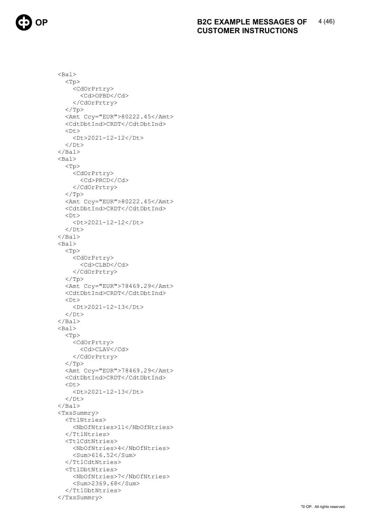

 <Bal>  $<$ Tp $>$  <CdOrPrtry> <Cd>OPBD</Cd> </CdOrPrtry>  $\langle$ Tp> <Amt Ccy="EUR">80222.45</Amt> <CdtDbtInd>CRDT</CdtDbtInd>  $<$ Dt $>$  <Dt>2021-12-12</Dt>  $\langle$ /Dt>  $\langle$ /Bal> <Bal>  $<$ Tp $>$  <CdOrPrtry> <Cd>PRCD</Cd> </CdOrPrtry>  $\rm{<} / \rm{Tp}$  <Amt Ccy="EUR">80222.45</Amt> <CdtDbtInd>CRDT</CdtDbtInd>  $<$ Dt $>$  <Dt>2021-12-12</Dt>  $\langle$ /Dt $\rangle$  $\langle$ /Bal> <Bal> <Tp> <CdOrPrtry> <Cd>CLBD</Cd> </CdOrPrtry>  $\langle$ /Tp> <Amt Ccy="EUR">78469.29</Amt> <CdtDbtInd>CRDT</CdtDbtInd>  $<$ Dt $>$  <Dt>2021-12-13</Dt>  $<$ /Dt>  $\langle$ /Bal> <Bal>  $<$ Tp $>$  <CdOrPrtry> <Cd>CLAV</Cd> </CdOrPrtry>  $\langle$ Tp> <Amt Ccy="EUR">78469.29</Amt> <CdtDbtInd>CRDT</CdtDbtInd>  $**Dt**$  <Dt>2021-12-13</Dt>  $\langle$ /Dt>  $\langle$ /Bal $\rangle$  <TxsSummry> <TtlNtries> <NbOfNtries>11</NbOfNtries> </TtlNtries> <TtlCdtNtries> <NbOfNtries>4</NbOfNtries> <Sum>616.52</Sum> </TtlCdtNtries> <TtlDbtNtries> <NbOfNtries>7</NbOfNtries> <Sum>2369.68</Sum> </TtlDbtNtries> </TxsSummry>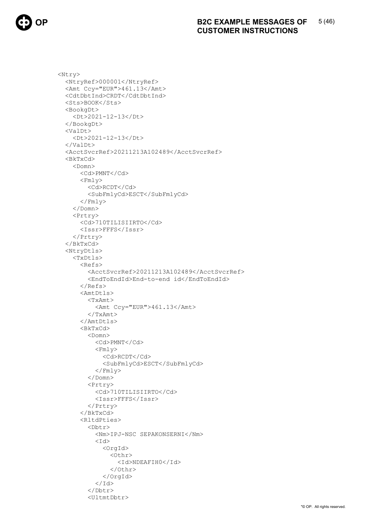

```
<Ntry>
  <NtryRef>000001</NtryRef>
  <Amt Ccy="EUR">461.13</Amt>
  <CdtDbtInd>CRDT</CdtDbtInd>
  <Sts>BOOK</Sts>
  <BookgDt>
    <Dt>2021-12-13</Dt>
  </BookgDt>
  <ValDt>
    <Dt>2021-12-13</Dt>
  \langle/ValDt>
  <AcctSvcrRef>20211213A102489</AcctSvcrRef>
  <sub>BkTxCd</sub></sub>
    <Domn>
       <Cd>PMNT</Cd>
       <Fmly>
         <Cd>RCDT</Cd>
         <SubFmlyCd>ESCT</SubFmlyCd>
      \langle/Fmly>
    \langle/Domn\ranglePrtry<Cd>710TILISIIRTO</Cd>
       <Issr>FFFS</Issr>
    </Prtry>
  \langle/BkTxCd>
  <NtryDtls>
    <TxDtls>
       <Refs>
         <AcctSvcrRef>20211213A102489</AcctSvcrRef>
         <EndToEndId>End-to-end id</EndToEndId>
       \langle/Refs>
       <AmtDtls>
         <TxAmt>
           <Amt Ccy="EUR">461.13</Amt>
         </TxAmt>
       </AmtDtls>
       <sub>BkTxCd</sub></sub>
         <Domn>
           <Cd>PMNT</Cd>
           <Fmly>
              <Cd>RCDT</Cd>
              <SubFmlyCd>ESCT</SubFmlyCd>
           \langle/Fmly>
         \langle/Domn>
         <Prtry>
           <Cd>710TILISIIRTO</Cd>
           <Issr>FFFS</Issr>
         \langle/Prtry>
       \langle/BkTxCd>
       <RltdPties>
         \langleDht.r>
           <Nm>IPJ-NSC SEPAKONSERNI</Nm>
           <bT>
              <OrqId>
                <0thr>
                   <Id>NDEAFIH0</Id>
                \langle/Othr>
              \langle/OrgId>
            \langle/Id>
         \langle/Dbtr>
         <UltmtDbtr>
```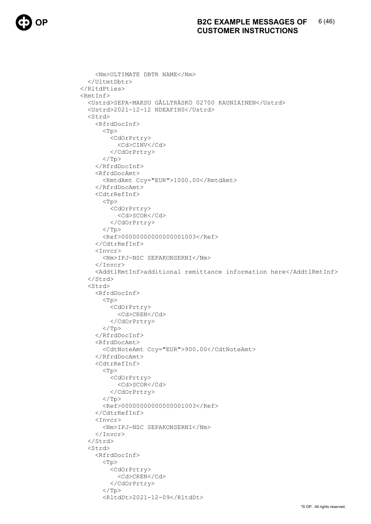```
 <Nm>ULTIMATE DBTR NAME</Nm> 
   </UltmtDbtr> 
 </RltdPties> 
 <RmtInf> 
   <Ustrd>SEPA-MAKSU GÅLLTRÄSKÖ 02700 KAUNIAINEN</Ustrd> 
   <Ustrd>2021-12-12 NDEAFIH0</Ustrd> 
   <Strd> 
     <RfrdDocInf> 
        <Tp> 
          <CdOrPrtry> 
            <Cd>CINV</Cd> 
          </CdOrPrtry> 
       \langleTp>
     </RfrdDocInf> 
     <RfrdDocAmt> 
        <RmtdAmt Ccy="EUR">1000.00</RmtdAmt> 
     </RfrdDocAmt> 
     <CdtrRefInf> 
       <Tp> <CdOrPrtry> 
            <Cd>SCOR</Cd> 
          </CdOrPrtry> 
       \langleTp>
        <Ref>00000000000000001003</Ref> 
     </CdtrRefInf> 
     <Invcr> 
        <Nm>IPJ-NSC SEPAKONSERNI</Nm> 
     </Invcr> 
     <AddtlRmtInf>additional remittance information here</AddtlRmtInf> 
   </Strd> 
   <Strd> 
     <RfrdDocInf> 
        <Tp> 
          <CdOrPrtry> 
            <Cd>CREN</Cd> 
          </CdOrPrtry> 
       \langleTp>
     </RfrdDocInf> 
     <RfrdDocAmt> 
        <CdtNoteAmt Ccy="EUR">900.00</CdtNoteAmt> 
     </RfrdDocAmt> 
     <CdtrRefInf> 
       <Tp> <CdOrPrtry> 
            <Cd>SCOR</Cd> 
          </CdOrPrtry> 
       \langleTp>
        <Ref>00000000000000001003</Ref> 
     </CdtrRefInf> 
     <Invcr> 
       <Nm>IPJ-NSC SEPAKONSERNI</Nm> 
    \langle/Invcr>
   </Strd> 
   <Strd> 
     <RfrdDocInf> 
        <Tp> 
          <CdOrPrtry> 
            <Cd>CREN</Cd> 
          </CdOrPrtry> 
       \langleTp>
        <RltdDt>2021-12-09</RltdDt>
```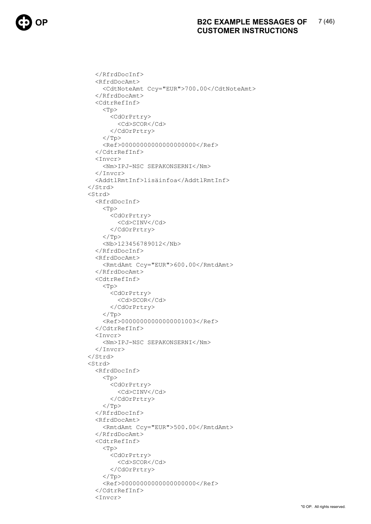```
 </RfrdDocInf> 
   <RfrdDocAmt> 
     <CdtNoteAmt Ccy="EUR">700.00</CdtNoteAmt> 
   </RfrdDocAmt> 
   <CdtrRefInf> 
    <Tp> <CdOrPrtry> 
          <Cd>SCOR</Cd> 
        </CdOrPrtry> 
    \langleTp>
     <Ref>00000000000000000000</Ref> 
   </CdtrRefInf> 
   <Invcr> 
     <Nm>IPJ-NSC SEPAKONSERNI</Nm> 
   </Invcr> 
   <AddtlRmtInf>lisäinfoa</AddtlRmtInf> 
 </Strd> 
 <Strd> 
   <RfrdDocInf> 
    <Tp> <CdOrPrtry> 
          <Cd>CINV</Cd> 
        </CdOrPrtry> 
    \langle/Tp>
     <Nb>123456789012</Nb> 
   </RfrdDocInf> 
   <RfrdDocAmt> 
     <RmtdAmt Ccy="EUR">600.00</RmtdAmt> 
   </RfrdDocAmt> 
   <CdtrRefInf> 
     <Tp> 
        <CdOrPrtry> 
          <Cd>SCOR</Cd> 
        </CdOrPrtry> 
    \langleTp>
     <Ref>00000000000000001003</Ref> 
   </CdtrRefInf> 
   <Invcr> 
     <Nm>IPJ-NSC SEPAKONSERNI</Nm> 
   </Invcr> 
 </Strd> 
 <Strd> 
   <RfrdDocInf> 
     <Tp> 
        <CdOrPrtry> 
          <Cd>CINV</Cd> 
        </CdOrPrtry> 
    \langleTp>
   </RfrdDocInf> 
   <RfrdDocAmt> 
     <RmtdAmt Ccy="EUR">500.00</RmtdAmt> 
   </RfrdDocAmt> 
   <CdtrRefInf> 
     <Tp> 
        <CdOrPrtry> 
          <Cd>SCOR</Cd> 
        </CdOrPrtry> 
    \langleTp>
     <Ref>00000000000000000000</Ref> 
   </CdtrRefInf> 
   <Invcr>
```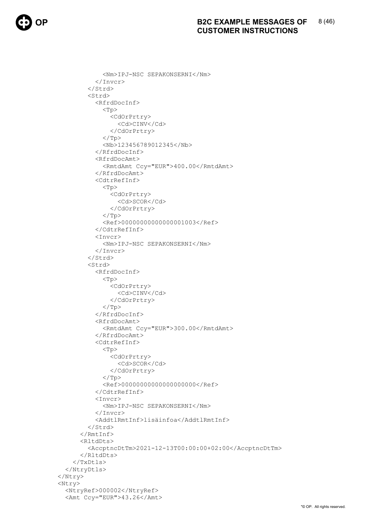```
 <Nm>IPJ-NSC SEPAKONSERNI</Nm> 
             </Invcr> 
          </Strd> 
          <Strd> 
            <RfrdDocInf> 
              <Tp> <CdOrPrtry> 
                   <Cd>CINV</Cd> 
                 </CdOrPrtry> 
              \langleTp>
               <Nb>123456789012345</Nb> 
             </RfrdDocInf> 
             <RfrdDocAmt> 
               <RmtdAmt Ccy="EUR">400.00</RmtdAmt> 
            </RfrdDocAmt> 
            <CdtrRefInf> 
               <Tp> 
                 <CdOrPrtry> 
                    <Cd>SCOR</Cd> 
                 </CdOrPrtry> 
              \langleTp>
               <Ref>00000000000000001003</Ref> 
            </CdtrRefInf> 
            Tnvcr <Nm>IPJ-NSC SEPAKONSERNI</Nm> 
            </Invcr> 
          </Strd> 
          <Strd> 
            <RfrdDocInf> 
               <Tp> 
                 <CdOrPrtry> 
                    <Cd>CINV</Cd> 
                 </CdOrPrtry> 
              \langleTp>
            </RfrdDocInf> 
            <RfrdDocAmt> 
               <RmtdAmt Ccy="EUR">300.00</RmtdAmt> 
            </RfrdDocAmt> 
             <CdtrRefInf> 
              <Tp> <CdOrPrtry> 
                    <Cd>SCOR</Cd> 
                 </CdOrPrtry> 
              \langleTp>
               <Ref>00000000000000000000</Ref> 
            </CdtrRefInf> 
            <Invcr> 
               <Nm>IPJ-NSC SEPAKONSERNI</Nm> 
            </Invcr> 
            <AddtlRmtInf>lisäinfoa</AddtlRmtInf> 
          </Strd> 
       \langle/RmtInf>
        <RltdDts> 
          <AccptncDtTm>2021-12-13T00:00:00+02:00</AccptncDtTm> 
        </RltdDts> 
     </TxDtls> 
   </NtryDtls> 
 </Ntry> 
 <Ntry> 
   <NtryRef>000002</NtryRef> 
   <Amt Ccy="EUR">43.26</Amt>
```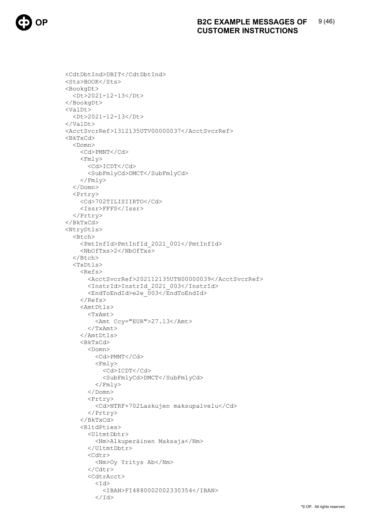```
<CdtDbtInd>DBIT</CdtDbtInd>
<Sts>BOOK</Sts>
<BookgDt>
  <Dt>2021-12-13</Dt>
</BookgDt>
<ValDt>
  <Dt>2021-12-13</Dt>
\langle/ValDt>
<AcctSvcrRef>1312135UTV00000037</AcctSvcrRef>
<BkTxCd>
  <Domn>
    <Cd>PMNT</Cd>
    <Fmly>
      <Cd>ICDT</Cd>
       <SubFmlyCd>DMCT</SubFmlyCd>
    \langle/Fmly>
  </Domn>
  <Prtry>
    <Cd>702TILISIIRTO</Cd>
    <Issr>FFFS</Issr>
  </Prtry>
\langle/BkTxCd>
<NtryDtls>
  \langleBtch\rangle<PmtInfId>PmtInfId 2021 001</PmtInfId>
    <Nb0fTxs>2</Nb0fTxs>
  \langle/Btch>
  <TxDtls>
    <sub>Refs</sub></sub>
       <AcctSvcrRef>202112135UTH00000039</AcctSvcrRef>
       <InstrId>InstrId 2021 003</InstrId>
       <EndToEndId>e2e 003</EndToEndId>
    \langle/Refs>
    <AmtDtls>
       <TxAmt>
         <Amt Ccy="EUR">27.13</Amt>
       \langle/TxAmt>
    </AmtDtls>
    <BkTxCd>
       <Domn>
         <Cd>PMNT</Cd>
         <Fmly>
           <Cd>ICDT</Cd>
           <SubFmlyCd>DMCT</SubFmlyCd>
         \langle/Fmly>
       \langle/Domn>
       Prtry<Cd>NTRF+702Laskujen maksupalvelu</Cd>
       </Prtry>
    \langle/BkTxCd>
    CR1tdPties\langleII] +mt Dh+ r>
         <Nm>Alkuperäinen Maksaja</Nm>
       </UltmtDbtr>
       <Cdtr>
         <Nm>Oy Yritys Ab</Nm>
       \langle/Cdtr>
       <CdtrAcct>
         < T d ><IBAN>FI4880002002330354</IBAN>
         \langle/Id>
```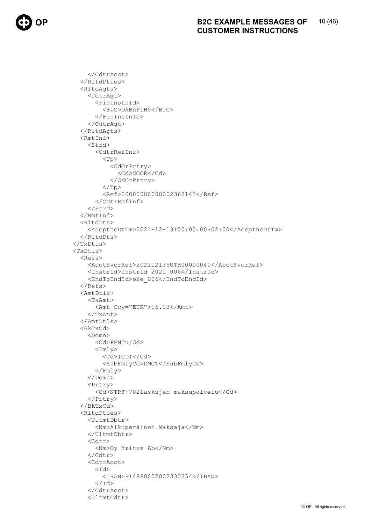```
</CdtrAcct>
  </RltdPties>
  <RltdAgts>
    <CdtrAgt>
       <FinInstnId>
         <BIC>DABAFIH0</BIC>
      \langleFinInstnId>
    </CdtrAqt>
  </RltdAqts>
  <RmtInf>
    <Strd>
      <CdtrRefInf>
         <Tp>
           <CdOrPrtry>
              <Cd>SCOR</Cd>
           </CdOrPrtry>
         \langle/Tp>
         <Ref>00000000000002363143</Ref>
      </CdtrRefInf>
    \langle/Strd>
  \langle/RmtInf>
  \langleRltdDts>
    <AccptncDtTm>2021-12-13T00:00:00+02:00</AccptncDtTm>
  \langle/RltdDts>
\langle/TxDtls>
<TxDtls>
  <sub>Refs</sub></sub>
    <AcctSvcrRef>202112135UTH00000040</AcctSvcrRef>
    <InstrId>InstrId 2021 006</InstrId>
    <EndToEndId>e2e 006</EndToEndId>
  \langle/Refs>
  <AmtDtls>
    <TxAmt>
      <Amt Ccy="EUR">16.13</Amt>
    \langle/TxAmt>
  </AmtDtls>
  <sub>BkTxCd</sub></sub>
    <Domn>
      <Cd>PMNT</Cd>
      <Fmly>
         <Cd>ICDT</Cd>
         <SubFmlyCd>DMCT</SubFmlyCd>
      \langle/Fmly>
    \langle/Domn>
    Prtry<Cd>NTRF+702Laskujen maksupalvelu</Cd>
    </Prtry>
  \langle/BkTxCd>
  <RltdPties>
    <UltmtDbtr>
      <Nm>Alkuperäinen Maksaja</Nm>
    </UltmtDbtr>
    <Cdtr>
       <Nm>Oy Yritys Ab</Nm>
    \langle/Cdtr>
    <CdtrAcct>
      < T d ><IBAN>FI4880002002330354</IBAN>
       \langle/Id>
    </CdtrAcct>
    <UltmtCdtr>
```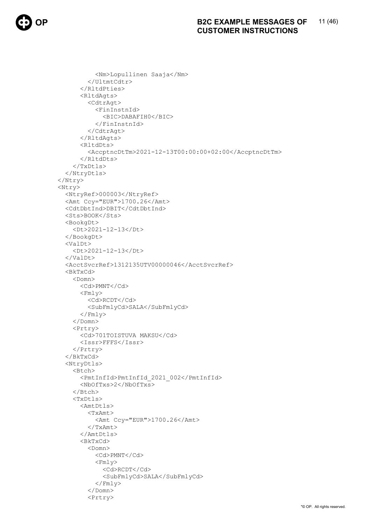```
<Nm>Lopullinen Saaja</Nm>
         </UltmtCdtr>
       </RltdPties>
       <RltdAgts>
         <CdtrAgt>
           <FinInstnId>
             <BIC>DABAFIH0</BIC>
           \langleFinInstnId>
         </CdtrAqt>
       </RltdAqts>
       <RltdDts>
         <AccptncDtTm>2021-12-13T00:00:00+02:00</AccptncDtTm>
       </RltdDts>
    \langle/TxDtls>
  </NtryDtls>
\langle/Ntry>
<Ntry>
  <NtryRef>000003</NtryRef>
  <Amt Ccy="EUR">1700.26</Amt>
  <CdtDbtInd>DBIT</CdtDbtInd>
  <Sts>BOOK</Sts>
  <BookgDt>
    <Dt>2021-12-13</Dt>
  </BookaDt>
  <ValDt>
    <Dt>2021-12-13</Dt>
  \langle/ValDt>
  <AcctSvcrRef>1312135UTV00000046</AcctSvcrRef>
  <BkTxCd>
    <Domn>
       <Cd>PMNT</Cd>
       <Fmly>
         <Cd>RCDT</Cd>
         <SubFmlyCd>SALA</SubFmlyCd>
      \langle/Fmly>
    \langle/Domn>
    <Prtry>
      <Cd>701TOISTUVA MAKSU</Cd>
      <Issr>FFFS</Issr>
    </Prtry>
  \langle/BkTxCd>
  <NtryDtls>
    \overline{\text{Bitch}}<PmtInfId>PmtInfId 2021 002</PmtInfId>
      <NbOfTxs>2</NbOfTxs>
    \langle/Btch>
    <TxDtls>
      <AmtDtls>
         <TxAmt><Amt Ccy="EUR">1700.26</Amt>
         \langle/TxAmt>
       \langle/AmtDtls>
       <BkT\timesCd><Domn>
           <Cd>PMNT</Cd>
           <Fmly>
             <Cd>RCDT</Cd>
             <SubFmlyCd>SALA</SubFmlyCd>
           \langle/Fmly>
         \langle/Domn>
         Prtry
```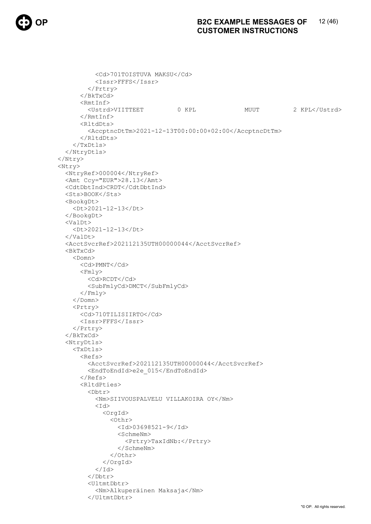### 12 (46) **B2C EXAMPLE MESSAGES OF CUSTOMER INSTRUCTIONS**

```
<Cd>701TOISTUVA MAKSU</Cd>
           <Issr>FFFS</Issr>
         </Prtry>
       \langle/BkTxCd>
       <RmtInf>
                                                         MUUT
                                                                         2 KPL</Ustrd>
         <Ustrd>VIITTEET
                                     0 KPL
      \langle/RmtInf>
      <RltdDts>
         <AccptncDtTm>2021-12-13T00:00:00+02:00</AccptncDtTm>
      </RltdDts>
    \langle/TxDtls>
  </NtryDtls>
\langle/Ntry>
<Ntry>
  <NtryRef>000004</NtryRef>
  <Amt Ccy="EUR">28.13</Amt>
  <CdtDbtInd>CRDT</CdtDbtInd>
  <Sts>BOOK</Sts>
  <BookgDt>
    <Dt>2021-12-13</Dt>
  </BookgDt>
  <ValDt>
    <Dt>2021-12-13</Dt>
  \langle/ValDt>
  <AcctSvcrRef>202112135UTH00000044</AcctSvcrRef>
  <sub>BkTxCd</sub></sub>
    <Domn>
      <Cd>PMNT</Cd>
      <Fmly>
         <Cd>RCDT</Cd>
         <SubFmlyCd>DMCT</SubFmlyCd>
      \langle/Fmly>
    \langle/Domn>
    Prtry<Cd>710TILISIIRTO</Cd>
      <Issr>FFFS</Issr>
    \langle/Prtry>
  \langle/BkTxCd>
  <NtryDtls>
    <TxDtls>
      <sub>Refs</sub></sub>
         <AcctSvcrRef>202112135UTH00000044</AcctSvcrRef>
         <EndToEndId>e2e 015</EndToEndId>
      \langle/Refs>
       <RltdPties>
         <Dbtr>
           <Nm>SIIVOUSPALVELU VILLAKOIRA OY</Nm>
           <Id>
             <OrgId>
                \langleOthr>
                  <Td>03698521-9</Td>
                  <SchmeNm>
                    <Prtry>TaxIdNb:</Prtry>
                  </SchmeNm>
                </Othr>
              \langle/OrgId>
           \langle/Id>
         \langle/Dbtr>
         <UltmtDbtr>
           <Nm>Alkuperäinen Maksaja</Nm>
         </UltmtDbtr>
```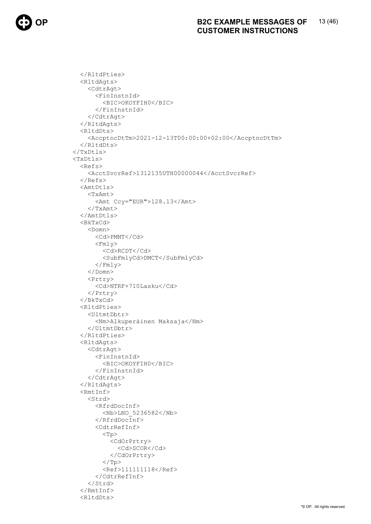```
</RltdPties>
  <RltdAgts>
    <CdtrAgt>
      <FinInstnId>
         <BIC>OKOYFIH0</BIC>
      </FinInstnId>
    </CdtrAqt>
  </RltdAqts>
  <RltdDts>
    <AccptncDtTm>2021-12-13T00:00:00+02:00</AccptncDtTm>
  </RltdDts>
\langle/TxDtls>
<TxDtls>
  <Refs>
    <AcctSvcrRef>1312135UTH00000044</AcctSvcrRef>
  \langle/Refs>
  <AmtDtls>
    <TxAmt>
      <Amt Ccy="EUR">128.13</Amt>
    \langle/TxAmt>
  \langle/AmtDtls>
  <BkTxCd>
    <Domn><Cd>PMNT</Cd>
      <Fmly>
         <Cd>RCDT</Cd>
         <SubFmlyCd>DMCT</SubFmlyCd>
      \langle/Fmly>
    \langle/Domn>
    <Prtry>
      <Cd>NTRF+710Lasku</Cd>
    \langle/Prtry>
  \langle/BkTxCd>
  <RltdPties>
    <UltmtDbtr>
      <Nm>Alkuperäinen Maksaja</Nm>
    </UltmtDbtr>
  </RltdPties>
  <RltdAqts>
    <CdtrAqt>
      <FinInstnId>
         <BIC>OKOYFIH0</BIC>
      \langle/FinInstnId>
    </CdtrAgt>
  </RltdAgts>
  <RmtInf>
    <Strd>
      <RfrdDocInf>
         <Nb>LNO 5236582</Nb>
      \langle/RfrdDocInf>
      <CdtrRefInf>
         <Tp>
           <CdOrPrtry>
             <Cd>SCOR</Cd>
           </CdOrPrtry>
         \langle/Tp>
         <Ref>111111118</Ref>
      </CdtrRefInf>
    \langle/Strd>
  \langle/RmtInf>
  <RltdDts>
```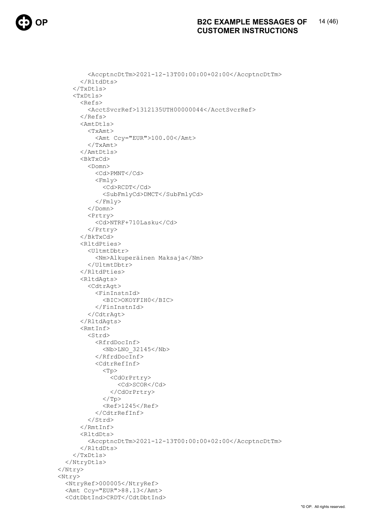### $14(46)$ **B2C EXAMPLE MESSAGES OF CUSTOMER INSTRUCTIONS**

```
<AccptncDtTm>2021-12-13T00:00:00+02:00</AccptncDtTm>
       </RltdDts>
    \langle/TxDtls>
    <TxDtls>
       <sub>Refs</sub></sub>
         <AcctSvcrRef>1312135UTH00000044</AcctSvcrRef>
       \langle/Refs>
       <AmtDtls>
         <TxAmt>
           <Amt Ccy="EUR">100.00</Amt>
         \langle/TxAmt>
       </AmtDtls>
       <sub>BkTxCd</sub></sub>
         <Domn><Cd>PMNT</Cd>
           <Fmly>
             <Cd>RCDT</Cd>
             <SubFmlyCd>DMCT</SubFmlyCd>
           \langle/Fmly>
         \langle/Domn>
         <Prtry>
           <Cd>NTRF+710Lasku</Cd>
         </Prtry>
       \langle/RkTx\capd>
       <RltdPties>
         <UltmtDbtr>
           <Nm>Alkuperäinen Maksaja</Nm>
         </UltmtDbtr>
       </RltdPties>
       <RltdAgts>
         <CdtrAgt>
           <FinInstnId>
              <BIC>OKOYFIH0</BIC>
           \langle/FinInstnId>
         </CdtrAqt>
       </RltdAqts>
       <RmtInf>
         <Strd>
           <RfrdDocInf>
             <Nb>LNO 32145</Nb>
           \langle/RfrdDocInf>
           <CdtrRefInf>
              <Tp>
                <CdOrPrtry>
                  <Cd>SCOR</Cd>
                </CdOrPrtry>
              </Tp>
              <Ref>1245</Ref>
           \langle/CdtrRefInf>
         \langle/Strd>
       \langle/RmtInf>
       <RltdDts>
         <AccptncDtTm>2021-12-13T00:00:00+02:00</AccptncDtTm>
       </RltdDts>
    </TxDtls>
  </NtryDtls>
\langle/Ntry>
<Ntry>
  <NtryRef>000005</NtryRef>
  <Amt Ccy="EUR">88.13</Amt>
  <CdtDbtInd>CRDT</CdtDbtInd>
```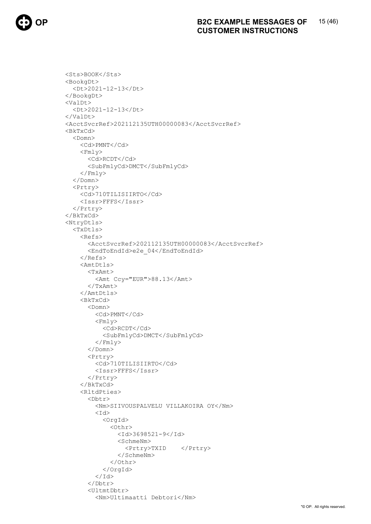```
<Sts>BOOK</Sts>
<BookgDt>
  <Dt>2021-12-13</Dt>
</BookgDt>
<ValDt>
  <Dt>2021-12-13</Dt>
\langle/ValDt>
<AcctSvcrRef>202112135UTH00000083</AcctSvcrRef>
<BkTxCd>
  <Domn>
    <Cd>PMNT</Cd>
    <Fmly>
      <Cd>RCDT</Cd>
       <SubFmlyCd>DMCT</SubFmlyCd>
    \langle/Fmly>
  \langle/Domn\rangle<Prtry>
    <Cd>710TILISIIRTO</Cd>
    <Issr>FFFS</Issr>
  </Prtry>
\langle/BkTxCd>
<NtryDtls>
  <TxDtls>RAFS<AcctSvcrRef>202112135UTH00000083</AcctSvcrRef>
       <EndToEndId>e2e 04</EndToEndId>
    \langle/Refs>
    <AmtDtls>
      <TxAmt>
         <Amt Ccy="EUR">88.13</Amt>
       </TxAmt>
    </AmtDtls>
    <sub>BkTxCd</sub></sub>
       <Domn><Cd>PMNT</Cd>
         <Fmly>
           <Cd>RCDT</Cd>
           <SubFmlyCd>DMCT</SubFmlyCd>
         \langle/Fmly>
       \langle/Domn>
       Prtrv<Cd>710TILISIIRTO</Cd>
         <Issr>FFFS</Issr>
       \langle/Prtry>
    \langle/BkTxCd>
    <RltdPties>
       <Dbtr<Nm>SIIVOUSPALVELU VILLAKOIRA OY</Nm>
         <Id>
           <OrgId>
             \langleOthr>
                <Td>3698521-9</Td>
                <SchmeNm><Prtry>TXID
                                </Prtry>
                </SchmeNm>
             </Othr>
           \langle/OrqId>
         \langle /Id \rangle</Dbtr>
       <UltmtDbtr>
         <Nm>Ultimaatti Debtori</Nm>
```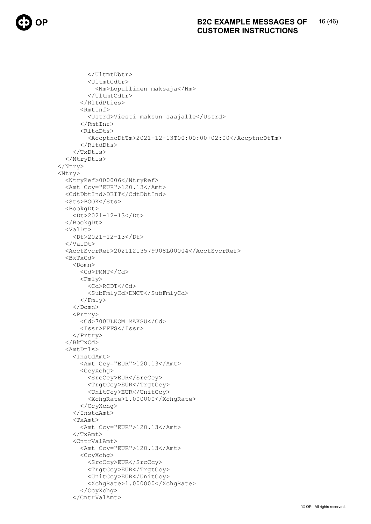```
</UltmtDbtr>
        <UltmtCdtr>
           <Nm>Lopullinen maksaja</Nm>
        </UltmtCdtr>
      </RltdPties>
      <RmtInf>
        <Ustrd>Viesti maksun saajalle</Ustrd>
      \langle/RmtInf>
      <RltdDts>
        <AccptncDtTm>2021-12-13T00:00:00+02:00</AccptncDtTm>
      </RltdDts>
    \langle/TxDtls>
  </NtryDtls>
\langle/Ntry>
<Ntry>
  <NtryRef>000006</NtryRef>
  <Amt Ccy="EUR">120.13</Amt>
  <CdtDbtInd>DBIT</CdtDbtInd>
  <Sts>BOOK</Sts>
  <BookgDt>
    <Dt>2021-12-13</Dt>
  </BookgDt>
  <ValDt>
    <Dt>2021-12-13</Dt>
  \langle/ValDt>
  <AcctSvcrRef>20211213579908L00004</AcctSvcrRef>
  <BkTxCd>
    <Domn><Cd>PMNT</Cd>
      <Fmly>
        <Cd>RCDT</Cd>
        <SubFmlyCd>DMCT</SubFmlyCd>
      \langle/Fmly>
    \langle/Domn>
    <Prtry>
      <Cd>700ULKOM MAKSU</Cd>
      <Issr>FFFS</Issr>
    \langle/Prtry>
  \langle/BkTxCd>
  <AmtDtls>
    <InstdAmt>
      <Amt Ccy="EUR">120.13</Amt>
      <CcyXchq>
        <SrcCcy>EUR</SrcCcy>
        <TrgtCcy>EUR</TrgtCcy>
        <UnitCcy>EUR</UnitCcy>
        <XchqRate>1.000000</XchqRate>
      </CcyXchg>
    </InstdAmt>
    <TxAmt><Amt Ccy="EUR">120.13</Amt>
    \langle/TxAmt>
    <CntrValAmt>
      <Amt Ccy="EUR">120.13</Amt>
      <CcyXchg>
        <SrcCcy>EUR</SrcCcy>
        <TrqtCcy>EUR</TrqtCcy>
        <UnitCcy>EUR</UnitCcy>
        <XchqRate>1.000000</XchqRate>
      </CcyXchq>
    </CntrValAmt>
```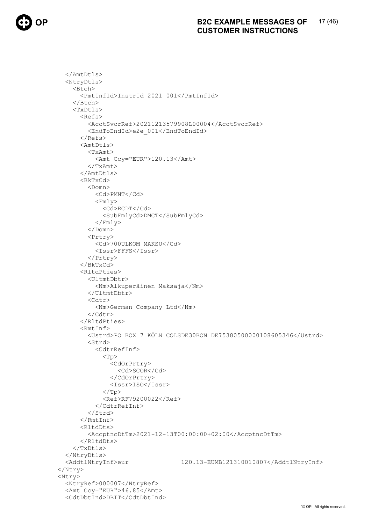```
</AmtDtls>
  <NtryDtls>
    <Btch>
       <PmtInfId>InstrId 2021 001</PmtInfId>
    \langle/Btch>
    <TxDtls>
      <sub>Refs</sub></sub>
         <AcctSvcrRef>20211213579908L00004</AcctSvcrRef>
         <EndToEndId>e2e 001</EndToEndId>
       \langle/Refs>
      <AmtDtls>
         <TxAmt>
           <Amt Ccy="EUR">120.13</Amt>
         \langle/TxAmt>
       \langle/AmtDtls>
       <sub>BkTxCd</sub></sub>
         <Domn><Cd>PMNT</Cd>
           <Fmly>
             <Cd>RCDT</Cd>
             <SubFmlyCd>DMCT</SubFmlyCd>
           \langle/Fmly>
         \langle/Domn\ranglePrtry<Cd>700ULKOM MAKSU</Cd>
           <Issr>FFFS</Issr>
         \langle/Prtry>
      \langle/BkTxCd>
       <RltdPties>
         <UltmtDbtr>
           <Nm>Alkuperäinen Maksaja</Nm>
         </UltmtDbtr>
         <Cdtr>
           <Nm>German Company Ltd</Nm>
         \langle/Cdtr>
       </RltdPties>
       <RmtInf>
         <Ustrd>PO BOX 7 KÖLN COLSDE30BON DE75380500000108605346</Ustrd>
         <Strd>
           <CdtrRefInf>
             <Tp>
                <CdOrPrtry>
                  <cd>scoR</cd>
                </CdOrPrtry>
                <Issr>ISO</Issr>
             \langle/Tp>
             <Ref>RF79200022</Ref>
           </CdtrRefInf>
         \langle/Strd>
       \langle/RmtInf>
       <RltdDts>
         <AccptncDtTm>2021-12-13T00:00:00+02:00</AccptncDtTm>
      \langle/RltdDts>
    </TxDtls>
  </NtryDtls>
                                    120.13-EUMB121310010807</AddtlNtryInf>
  <AddtlNtryInf>eur
\langle/Ntry>
<Ntry>
  <NtryRef>000007</NtryRef>
  <Amt Ccy="EUR">46.85</Amt>
  <CdtDbtInd>DBIT</CdtDbtInd>
```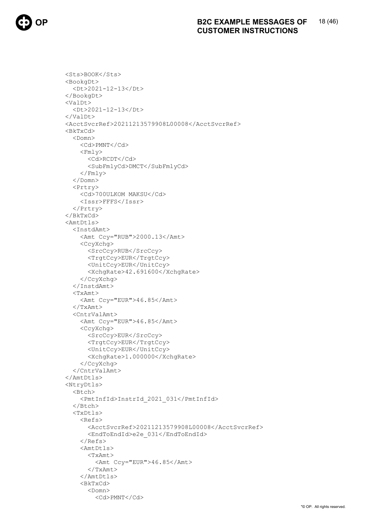```
<Sts>BOOK</Sts>
<BookgDt>
  <Dt>2021-12-13</Dt>
</BookgDt>
<ValDt>
  <Dt>2021-12-13</Dt>
\langle/ValDt>
<AcctSvcrRef>20211213579908L00008</AcctSvcrRef>
<BkTxCd>
  <Domn>
    <Cd>PMNT</Cd>
    <Fmlv>
      <Cd>RCDT</Cd>
      <SubFmlyCd>DMCT</SubFmlyCd>
    \langle/Fmly>
  \langle/Domn\rangle<Prtry>
    <Cd>700ULKOM MAKSU</Cd>
    <Issr>FFFS</Issr>
  </Prtry>
\langle/BkTxCd>
<AmtDtls>
  <InstdAmt>
    <Amt Ccy="RUB">2000.13</Amt>
    <CcyXchq>
      <SrcCcy>RUB</SrcCcy>
      <TrgtCcy>EUR</TrgtCcy>
      <UnitCcy>EUR</UnitCcy>
      <XchqRate>42.691600</XchqRate>
    </CcyXchq>
  </InstdAmt>
  <TxAmt><Amt Ccy="EUR">46.85</Amt>
  \langle/TxAmt>
  <CntrValAmt>
    <Amt Ccy="EUR">46.85</Amt>
    <CcyXchq>
      <SrcCcy>EUR</SrcCcy>
      <TrqtCcy>EUR</TrqtCcy>
      <UnitCcy>EUR</UnitCcy>
      <XchqRate>1.000000</XchqRate>
    </CcyXchq>
  \langle/CntrValAmt>
\langle/AmtDtls>
<NtryDtls>
  <Btch>
    <PmtInfId>InstrId 2021 031</PmtInfId>
  \langle/Btch>
  <TxDtls>Refs>
      <AcctSvcrRef>20211213579908L00008</AcctSvcrRef>
      <EndToEndId>e2e 031</EndToEndId>
    \langle/Refs>
    <AmtDtls>
      <TxAmt>
        <Amt Ccy="EUR">46.85</Amt>
      \langle/TxAmt>
    </AmtDtls>
    <BkTxCd>
      <Domn>
        <Cd>PMNT</Cd>
```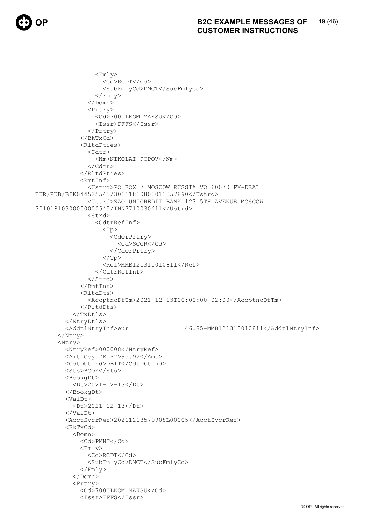```
<Fmly>
                   <Cd>RCDT</Cd>
                    <SubFmlyCd>DMCT</SubFmlyCd>
                 \langle/Fmly>
               </Domn>
               Prtry<Cd>700ULKOM MAKSU</Cd>
                 <Issr>FFFS</Issr>
               \langle/Prtry>
             \langle/BkTxCd>
             <RltdPties>
               <Cdtr>
                 <Nm>NIKOLAI POPOV</Nm>
               \langle/Cdtr>
             </RltdPties>
             <RmtInf>
               <Ustrd>PO BOX 7 MOSCOW RUSSIA VO 60070 FX-DEAL
EUR/RUB/BIK044525545/30111810800013057890</Ustrd>
               <Ustrd>ZAO UNICREDIT BANK 123 5TH AVENUE MOSCOW
30101810300000000545/INN7710030411</Ustrd>
               <Strd>
                 <CdtrRefInf>
                    <Tp>
                      <CdOrPrtry>
                        <Cd>SCOR</Cd>
                     </CdOrPrtry>
                    \langle/Tp>
                    <Ref>MMB121310010811</Ref>
                 </CdtrRefInf>
               \langle/Strd>
             \langle/RmtInf>
             <RltdDts>
               <AccptncDtTm>2021-12-13T00:00:00+02:00</AccptncDtTm>
             \langle/RltdDts>
           </TxDtls>
        </NtryDtls>
        <AddtlNtryInf>eur
                                            46.85-MMB121310010811</AddtlNtryInf>
      \langle/Ntry>
      <Ntry>
        <NtryRef>000008</NtryRef>
        <Amt Ccv="EUR">95.92</Amt>
        <CdtDbtInd>DBIT</CdtDbtInd>
        <Sts>BOOK</Sts>
        <BookgDt>
          <Dt>2021-12-13</Dt>
        </BookgDt>
        <ValDt>
          <Dt>2021-12-13</Dt>
        \langle/ValDt>
        <AcctSvcrRef>20211213579908L00005</AcctSvcrRef>
        CRkTxCd<Domn><Cd>PMNT</Cd>
             <Fmly>
               <Cd>RCDT</Cd>
               <SubFmlyCd>DMCT</SubFmlyCd>
             \langle/Fmly>
           \langle/Domn>
           <Prtry>
             <Cd>700ULKOM MAKSU</Cd>
             <Issr>FFFS</Issr>
```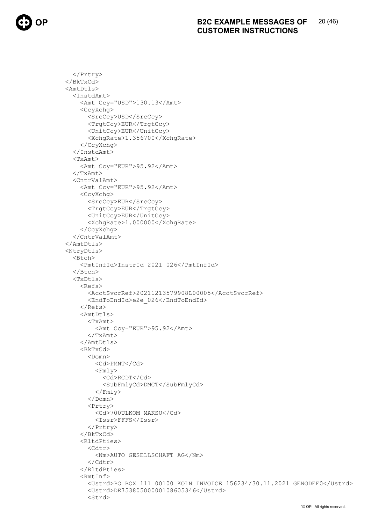</Prtry>  $\langle$ /BkTxCd> <AmtDtls> <InstdAmt> <Amt Ccy="USD">130.13</Amt> <CcyXchq> <SrcCcy>USD</SrcCcy> <TrqtCcy>EUR</TrqtCcy> <UnitCcy>EUR</UnitCcy> <XchqRate>1.356700</XchqRate> </CcyXchq> </InstdAmt>  $<$ TxAmt> <Amt Ccy="EUR">95.92</Amt>  $\langle$ /TxAmt> <CntrValAmt> <Amt Ccy="EUR">95.92</Amt> <CcyXchg> <SrcCcy>EUR</SrcCcy> <TrqtCcy>EUR</TrqtCcy> <UnitCcy>EUR</UnitCcy> <XchqRate>1.000000</XchqRate> </CcvXchq>  $\langle$ /CntrValAmt>  $\langle$ /AmtDtls> <NtryDtls> <Btch> <PmtInfId>InstrId 2021 026</PmtInfId>  $\langle$ /Btch>  $<$ TxDtls>  $<sub>Refs</sub>$ </sub> <AcctSvcrRef>20211213579908L00005</AcctSvcrRef> <EndToEndId>e2e 026</EndToEndId>  $\langle$ /Refs> <AmtDtls>  $<$ TxAmt> <Amt Ccy="EUR">95.92</Amt>  $\langle$ /TxAmt>  $\langle$ /AmtDtls> <BkTxCd>  $<$ Domn $>$ <Cd>PMNT</Cd>  $<$ Fmly> <Cd>RCDT</Cd> <SubFmlyCd>DMCT</SubFmlyCd>  $\langle$ /Fmly>  $\langle$ /Domn>  $Prtry$ <Cd>700ULKOM MAKSU</Cd>  $<$ Issr>FFFS $<$ /Issr> </Prtry>  $\langle$ /BkTxCd> <RltdPties> <Cdtr> <Nm>AUTO GESELLSCHAFT AG</Nm>  $\langle$ /Cdtr> </RltdPties>  $<$ RmtInf> <Ustrd>PO BOX 111 00100 KÖLN INVOICE 156234/30.11.2021 GENODEF0</Ustrd> <Ustrd>DE75380500000108605346</Ustrd>  $<$ Strd> "© OP. All rights reserved.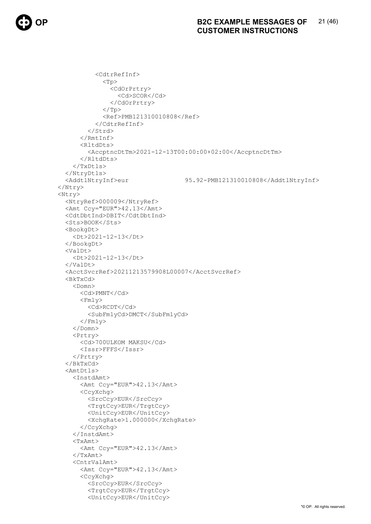```
<CdtrRefInf>
             <Tp>
               <CdOrPrtry>
                 <Cd>SCOR</Cd>
               </CdOrPrtry>
             \langle/Tp>
             <Ref>PMB121310010808</Ref>
           </CdtrRefInf>
        \langle/Strd>
      \langle/RmtInf>
      <RltdDts>
        <AccptncDtTm>2021-12-13T00:00:00+02:00</AccptncDtTm>
      </RltdDts>
    \langle/TxDtls>
  </NtrvDtls>
  <AddtlNtryInf>eur
                                     95.92-PMB121310010808</AddtlNtryInf>
</Ntry>
<Ntry>
  <NtryRef>000009</NtryRef>
  <Amt Ccy="EUR">42.13</Amt>
  <CdtDbtInd>DBIT</CdtDbtInd>
  <Sts>BOOK</Sts>
  <BookgDt>
    <Dt>2021-12-13</Dt>
  </BookgDt>
  <ValDt>
    <Dt>2021-12-13</Dt>
  \langle/ValDt>
  <AcctSvcrRef>20211213579908L00007</AcctSvcrRef>
  <BkTxCd>
    <Domn>
      <Cd>PMNT</Cd>
      <Fmly>
        <Cd>RCDT</Cd>
        <SubFmlyCd>DMCT</SubFmlyCd>
      \langle/Fmly>
    \langle/Domn>
    <Prtry>
      <Cd>700ULKOM MAKSU</Cd>
      <Issr>FFFS</Issr>
    \langle/Prtry>
  \langle/BkTxCd>
  <AmtDtls>
    <InstdAmt>
      <Amt Ccy="EUR">42.13</Amt>
      <CcyXchq>
        <SrcCcy>EUR</SrcCcv>
        <TrgtCcy>EUR</TrgtCcy>
        <UnitCcy>EUR</UnitCcy>
        <XchqRate>1.000000</XchqRate>
      </CcvXcha>
    \langle/InstdAmt>
    <TxAmt><Amt Ccy="EUR">42.13</Amt>
    </TxAmt>
    <CntrValAmt>
      <Amt Ccy="EUR">42.13</Amt>
      <CcyXchg>
        <SrcCcy>EUR</SrcCcy>
        <TrqtCcy>EUR</TrqtCcy>
        <UnitCcy>EUR</UnitCcy>
```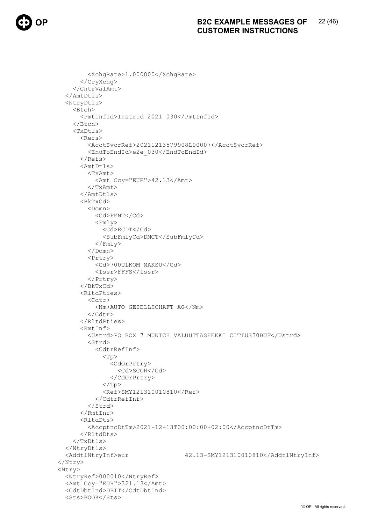```
<XchqRate>1.000000</XchqRate>
       </CcyXchq>
    </CntrValAmt>
  </AmtDtls>
  <NtryDtls>
    <Btch>
       <PmtInfId>InstrId 2021 030</PmtInfId>
    \langle/Btch>
    <TxDtls>
      <sub>Refs</sub></sub>
         <AcctSvcrRef>20211213579908L00007</AcctSvcrRef>
         <EndToEndId>e2e 030</EndToEndId>
      \langle/Refs>
       <AmtDtls>
         <TxAmt>
           <Amt Ccy="EUR">42.13</Amt>
         </TxAmt>
      \langle/AmtDtls>
       <BkTxCd>
         <Domn><Cd>PMNT</Cd>
           <Fmly>
             <Cd>RCDT</Cd>
             <SubFmlyCd>DMCT</SubFmlyCd>
           \langle/Fmly>
         </Domn>
         <Prtry>
           <Cd>700ULKOM MAKSU</Cd>
           <Issr>FFFS</Issr>
         \langle/Prtry>
      \langle/BkTxCd>
       <RltdPties>
         <Cdtr>
           <Nm>AUTO GESELLSCHAFT AG</Nm>
         \langle/Cdtr>
       </RltdPties>
       <RmtInf>
         <Ustrd>PO BOX 7 MUNICH VALUUTTASHEKKI CITIUS30BUF</Ustrd>
         <Strd>
           <CdtrRefInf>
             <Tp>
                <CdOrPrtry>
                  <cd>scoR</cd>
               </CdOrPrtry>
             \langle/Tp>
             <Ref>SMY121310010810</Ref>
           </CdtrRefInf>
         \langle/Strd>
       \langle/RmtInf>
       \langleRltdDts>
         \langleAccptncDtTm>2021-12-13T00:00:00+02:00</AccptncDtTm>
      \langle/RltdDts>
    \langle/TxDtls>
  </NtryDtls>
                                      42.13-SMY121310010810</AddtlNtryInf>
  <AddtlNtryInf>eur
</Ntry>
<Ntry>
  <NtryRef>000010</NtryRef>
  <Amt Ccy="EUR">321.13</Amt>
  <CdtDbtInd>DBIT</CdtDbtInd>
  <Sts>BOOK</Sts>
```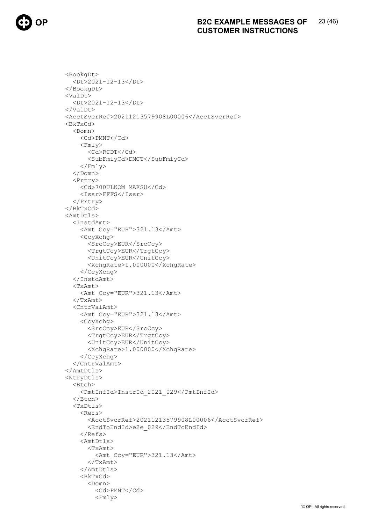

```
<BookgDt>
  <Dt>2021-12-13</Dt>
</BookgDt>
<ValDt>
  <Dt>2021-12-13</Dt>
\langle/ValDt>
<AcctSvcrRef>20211213579908L00006</AcctSvcrRef>
<BkTxCd>
  <Domn>
    <Cd>PMNT</Cd>
    <Fmly>
      <Cd>RCDT</Cd>
      <SubFmlyCd>DMCT</SubFmlyCd>
    \langle/Fmly>
  \langle/Domn\rangle<Prtry>
    <Cd>700ULKOM MAKSU</Cd>
    <Issr>FFFS</Issr>
  </Prtry>
\langle/BkTxCd>
<AmtDtls>
  <InstdAmt>
    <Amt Ccy="EUR">321.13</Amt>
    <CcyXchq>
      <SrcCcy>EUR</SrcCcy>
      <TrgtCcy>EUR</TrgtCcy>
      <UnitCcy>EUR</UnitCcy>
      <XchgRate>1.000000</XchgRate>
    </CcyXchq>
  </InstdAmt>
  <TxAmt>
    <Amt Ccy="EUR">321.13</Amt>
  \langle/TxAmt>
  <CntrValAmt>
    <Amt Ccy="EUR">321.13</Amt>
    <CcyXchq>
      <SrcCcy>EUR</SrcCcy>
      <TrqtCcy>EUR</TrqtCcy>
      <UnitCcy>EUR</UnitCcy>
      <XchgRate>1.000000</XchgRate>
    </CcyXchq>
  </CntrValAmt>
\langle/AmtDtls>
<NtryDtls>
  <Btch>
    <PmtInfId>InstrId 2021 029</PmtInfId>
  </Btch>
  <TxDtls><sub>Refs</sub></sub>
      <AcctSvcrRef>20211213579908L00006</AcctSvcrRef>
      <EndToEndId>e2e 029</EndToEndId>
    \langle/Refs>
    <AmtDtls>
      <TxAmt>
         <Amt Ccy="EUR">321.13</Amt>
      \langle/TxAmt>
    </AmtDtls>
    <sub>BkTxCd</sub></sub>
      <Domn>
         <Cd>PMNT</Cd>
         <Fmly>
```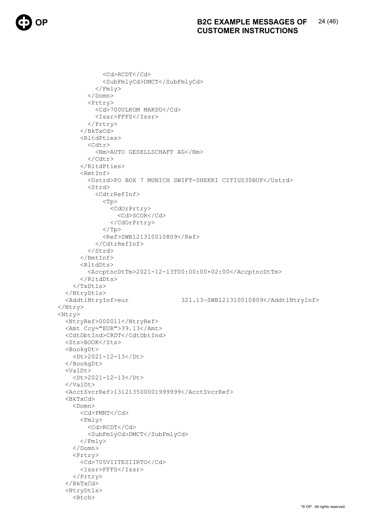```
<Cd>RCDT</Cd>
             <SubFmlyCd>DMCT</SubFmlyCd>
           \langle/Fmly>
         </Domn>
         <Prtry>
           <Cd>700ULKOM MAKSU</Cd>
           <Issr>FFFS</Issr>
         \langle/Prtry>
      \langle/BkTxCd>
      <RltdPties>
         <Cdtr>
           <Nm>AUTO GESELLSCHAFT AG</Nm>
         \langle/Cdtr>
      </RltdPties>
      <RmtInf>
         <Ustrd>PO BOX 7 MUNICH SWIFT-SHEKKI CITIUS30BUF</Ustrd>
         <Strd>
           <CdtrRefInf>
             < p<CdOrPrtry>
                  <Cd>SCOR</Cd>
               </CdOrPrtry>
             \langle/Tp>
             <Ref>SWB121310010809</Ref>
           </CdtrRefInf>
         \langle/Strd>
      \langle/RmtInf>
      <RltdDts>
         <AccptncDtTm>2021-12-13T00:00:00+02:00</AccptncDtTm>
      </RltdDts>
    \langle/TxDtls>
  </NtryDtls>
  <AddtlNtryInf>eur
                                     321.13-SWB121310010809</AddtlNtryInf>
\langle/Ntry>
<Ntry>
  <NtryRef>000011</NtryRef>
  <Amt Ccy="EUR">39.13</Amt>
  <CdtDbtInd>CRDT</CdtDbtInd>
  <Sts>BOOK</Sts>
  <BookgDt>
    <Dt>2021-12-13</Dt>
  </BookgDt>
  \langleValDt>
    <Dt>2021-12-13</Dt>
  \langle/ValDt>
  <AcctSvcrRef>131213500001999999</AcctSvcrRef>
  <BkTxCd>
    <Domn>
      <Cd>PMNT</Cd>
      <Fmly>
        <Cd>RCDT</Cd>
         <SubFmlyCd>DMCT</SubFmlyCd>
      \langle/Fmly>
    \langle/Domn>
    <Prtry>
      <Cd>705VIITESIIRTO</Cd>
      <Issr>FFFS</Issr>
    </Prtry>
  \langle/BkTxCd>
  <NtryDtls>
    <Btch>
```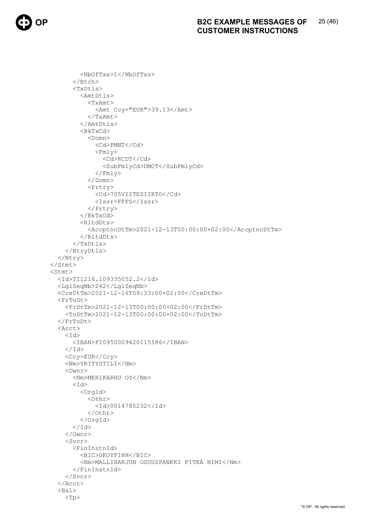```
 <NbOfTxs>1</NbOfTxs> 
        </Btch> 
        <TxDtls> 
          <AmtDtls> 
             <TxAmt> 
               <Amt Ccy="EUR">39.13</Amt> 
             </TxAmt> 
          </AmtDtls> 
          <BkTxCd> 
             <Domn> 
               <Cd>PMNT</Cd> 
              <Fmlv>
                 <Cd>RCDT</Cd> 
                 <SubFmlyCd>DMCT</SubFmlyCd> 
              \langle Fmly>
            \langle/Domn\rangle <Prtry> 
               <Cd>705VIITESIIRTO</Cd> 
               <Issr>FFFS</Issr> 
            </Prtry> 
          </BkTxCd> 
          <RltdDts> 
             <AccptncDtTm>2021-12-13T00:00:00+02:00</AccptncDtTm> 
          </RltdDts> 
       \langle/TxDtls>
     </NtryDtls> 
   </Ntry> 
 </Stmt> 
 <Stmt> 
   <Id>TI1216.109335052.2</Id> 
   <LglSeqNb>242</LglSeqNb> 
   <CreDtTm>2021-12-16T09:33:00+02:00</CreDtTm> 
   <FrToDt> 
     <FrDtTm>2021-12-13T00:00:00+02:00</FrDtTm> 
     <ToDtTm>2021-12-13T00:00:00+02:00</ToDtTm> 
   </FrToDt> 
   <Acct> 
    <Id>
        <IBAN>FI0950009420115586</IBAN> 
    \langle/Id>
     <Ccy>EUR</Ccy> 
     <Nm>YRITYSTILI</Nm> 
     <Ownr> 
        <Nm>MERIKARHU OY</Nm> 
       <Id> <OrgId> 
            <Othr> 
               <Id>0014785232</Id> 
             </Othr> 
          </OrgId> 
       \langle/Id>
    \langle/0wnr>
     <Svcr> 
        <FinInstnId> 
          <BIC>OKOYFIHH</BIC> 
          <Nm>MALLIHARJUN OSUUSPANKKI PITKÄ NIMI</Nm> 
        </FinInstnId> 
     </Svcr> 
   </Acct> 
   <Bal> 
    <Tp>
```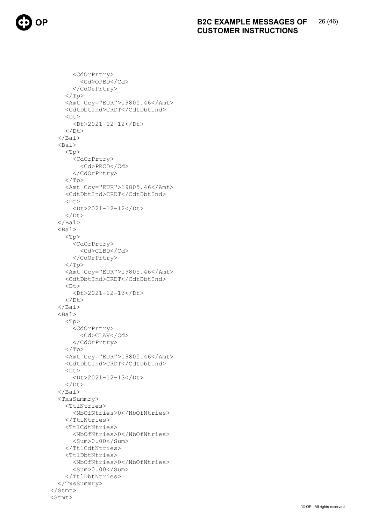<CdOrPrtry> <Cd>OPBD</Cd> </CdOrPrtry>  $\langle$ Tp> <Amt Ccy="EUR">19805.46</Amt> <CdtDbtInd>CRDT</CdtDbtInd>  $<$ Dt $>$  <Dt>2021-12-12</Dt>  $<$ /Dt>  $\langle$ /Bal> <Bal>  $<$ Tp $>$  <CdOrPrtry> <Cd>PRCD</Cd> </CdOrPrtry>  $\rm{<} / \rm{Tp}$  <Amt Ccy="EUR">19805.46</Amt> <CdtDbtInd>CRDT</CdtDbtInd>  $<$ Dt $>$  <Dt>2021-12-12</Dt>  $\langle$ /Dt $\rangle$  $\langle$ /Bal> <Bal>  $<$ Tp $>$  <CdOrPrtry> <Cd>CLBD</Cd> </CdOrPrtry>  $\langle$  Tp> <Amt Ccy="EUR">19805.46</Amt> <CdtDbtInd>CRDT</CdtDbtInd>  $<$ D $+$  $>$  <Dt>2021-12-13</Dt>  $\langle$ /Dt $\rangle$  $\langle$ /Bal> <Bal>  $<$ Tp $>$  <CdOrPrtry> <Cd>CLAV</Cd> </CdOrPrtry>  $\langle$ /Tp> <Amt Ccy="EUR">19805.46</Amt> <CdtDbtInd>CRDT</CdtDbtInd>  $**Dt**$  <Dt>2021-12-13</Dt>  $\langle$ /Dt>  $\langle$ /Bal $\rangle$  <TxsSummry> <TtlNtries> <NbOfNtries>0</NbOfNtries> </TtlNtries> <TtlCdtNtries> <NbOfNtries>0</NbOfNtries>  $<$ Sum $>0.00$   $<$  / Sum $>$  </TtlCdtNtries> <TtlDbtNtries> <NbOfNtries>0</NbOfNtries> <Sum>0.00</Sum> </TtlDbtNtries> </TxsSummry> </Stmt> <Stmt>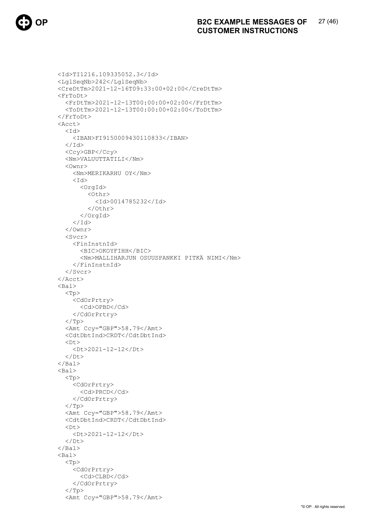

```
 <Id>TI1216.109335052.3</Id> 
 <LglSeqNb>242</LglSeqNb> 
 <CreDtTm>2021-12-16T09:33:00+02:00</CreDtTm> 
 <FrToDt> 
   <FrDtTm>2021-12-13T00:00:00+02:00</FrDtTm> 
   <ToDtTm>2021-12-13T00:00:00+02:00</ToDtTm> 
 </FrToDt> 
 <Acct> 
  <Id>
      <IBAN>FI9150009430110833</IBAN> 
  \langle/Id>
   <Ccy>GBP</Ccy> 
   <Nm>VALUUTTATILI</Nm> 
   <Ownr> 
      <Nm>MERIKARHU OY</Nm> 
     <Id> <OrgId> 
           <Othr> 
             <Id>0014785232</Id> 
         \langle/Othr>
        </OrgId> 
    \langle/Id>
  \langle/\capwnr>
  \langleSvcr>
      <FinInstnId> 
        <BIC>OKOYFIHH</BIC> 
        <Nm>MALLIHARJUN OSUUSPANKKI PITKÄ NIMI</Nm> 
     </FinInstnId> 
   </Svcr> 
 </Acct> 
 <Bal> 
   <Tp> 
      <CdOrPrtry> 
        <Cd>OPBD</Cd> 
     </CdOrPrtry> 
  \langleTp>
   <Amt Ccy="GBP">58.79</Amt> 
   <CdtDbtInd>CRDT</CdtDbtInd> 
  <br><b>Dt</b> <Dt>2021-12-12</Dt> 
  \langle/Dt\rangle\langle/Bal>
<sub>Bal</sub></sub>
   <Tp> 
     <CdOrPrtry> 
        <Cd>PRCD</Cd> 
     </CdOrPrtry> 
  \langleTp>
   <Amt Ccy="GBP">58.79</Amt> 
   <CdtDbtInd>CRDT</CdtDbtInd> 
  \langleDt\rangle(Dt) > 2021 - 12 - 12 < 10t\langle/Dt\rangle\langleBal>
 <Bal> 
   <Tp> 
     <CdOrPrtry> 
        <Cd>CLBD</Cd> 
     </CdOrPrtry> 
  \langleTp>
   <Amt Ccy="GBP">58.79</Amt>
```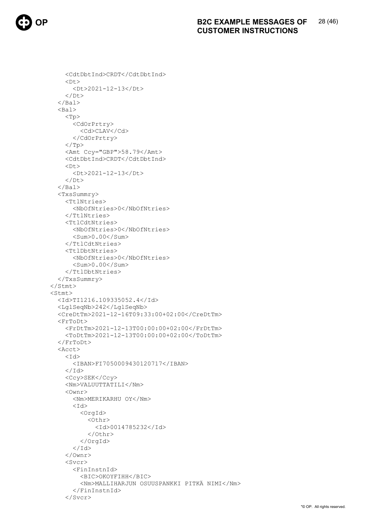```
 <CdtDbtInd>CRDT</CdtDbtInd> 
    <Dt> <Dt>2021-12-13</Dt> 
     \langle/Dt>
  \langle/Bal>
   <Bal> 
     <Tp> 
        <CdOrPrtry> 
          <Cd>CLAV</Cd> 
        </CdOrPrtry> 
    \langleTp>
     <Amt Ccy="GBP">58.79</Amt> 
     <CdtDbtInd>CRDT</CdtDbtInd> 
    <Dt> <Dt>2021-12-13</Dt> 
    \langle/Dt\rangle\langle/Bal>
   <TxsSummry> 
     <TtlNtries> 
        <NbOfNtries>0</NbOfNtries> 
     </TtlNtries> 
     <TtlCdtNtries> 
        <NbOfNtries>0</NbOfNtries> 
       \langleSum\rangle0.00\langle/Sum\rangle </TtlCdtNtries> 
      <TtlDbtNtries> 
        <NbOfNtries>0</NbOfNtries> 
        <Sum>0.00</Sum> 
     </TtlDbtNtries> 
   </TxsSummry> 
 </Stmt> 
 <Stmt> 
   <Id>TI1216.109335052.4</Id> 
   <LglSeqNb>242</LglSeqNb> 
   <CreDtTm>2021-12-16T09:33:00+02:00</CreDtTm> 
   <FrToDt> 
     <FrDtTm>2021-12-13T00:00:00+02:00</FrDtTm> 
      <ToDtTm>2021-12-13T00:00:00+02:00</ToDtTm> 
   </FrToDt> 
   <Acct> 
    <Id>
        <IBAN>FI7050009430120717</IBAN> 
    \langle/Id>
     <Ccy>SEK</Ccy> 
     <Nm>VALUUTTATILI</Nm> 
     <Ownr> 
        <Nm>MERIKARHU OY</Nm> 
       <Id>
          <OrgId> 
           <Othr>
               <Id>0014785232</Id> 
           \langle/Othr>
          </OrgId> 
       \langle/Id>
     </Ownr> 
      <Svcr> 
        <FinInstnId> 
          <BIC>OKOYFIHH</BIC> 
          <Nm>MALLIHARJUN OSUUSPANKKI PITKÄ NIMI</Nm> 
        </FinInstnId> 
      </Svcr>
```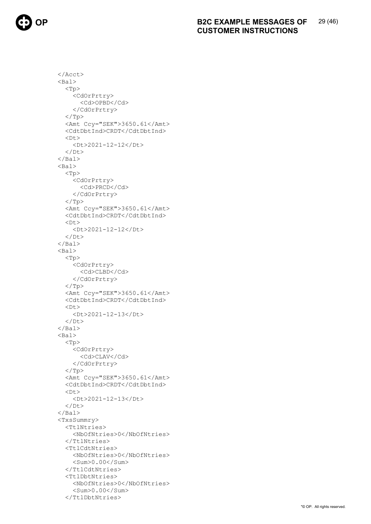</Acct> <Bal> <Tp> <CdOrPrtry> <Cd>OPBD</Cd> </CdOrPrtry>  $\langle$ Tp> <Amt Ccy="SEK">3650.61</Amt> <CdtDbtInd>CRDT</CdtDbtInd> <Dt> <Dt>2021-12-12</Dt>  $\langle$ /Dt>  $\langle$ Bal> <Bal>  $<$ Tp $>$  <CdOrPrtry> <Cd>PRCD</Cd> </CdOrPrtry>  $\langle$ /Tp> <Amt Ccy="SEK">3650.61</Amt> <CdtDbtInd>CRDT</CdtDbtInd>  $<$ Dt $>$  <Dt>2021-12-12</Dt>  $\langle$ /Dt $\rangle$  $\langle$ /Bal> <Bal> <Tp> <CdOrPrtry> <Cd>CLBD</Cd> </CdOrPrtry>  $\langle$ Tp> <Amt Ccy="SEK">3650.61</Amt> <CdtDbtInd>CRDT</CdtDbtInd>  $<$ Dt $>$  <Dt>2021-12-13</Dt>  $\langle$ /Dt>  $\langle$ Bal> <Bal>  $<$ Tp $>$  <CdOrPrtry> <Cd>CLAV</Cd> </CdOrPrtry>  $\langle$ Tp> <Amt Ccy="SEK">3650.61</Amt> <CdtDbtInd>CRDT</CdtDbtInd>  $<$ Dt $>$  <Dt>2021-12-13</Dt>  $\langle$ /Dt $\rangle$  $\langle$ /Bal $\rangle$  <TxsSummry> <TtlNtries> <NbOfNtries>0</NbOfNtries> </TtlNtries> <TtlCdtNtries> <NbOfNtries>0</NbOfNtries> <Sum>0.00</Sum> </TtlCdtNtries> <TtlDbtNtries> <NbOfNtries>0</NbOfNtries> <Sum>0.00</Sum> </TtlDbtNtries>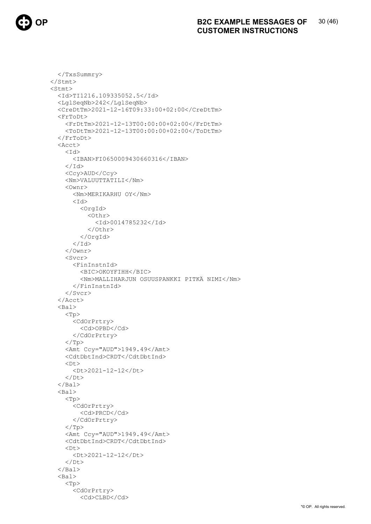

```
</TxsSummry>
\langle/Stmt>
<Stmt>
  <Id>TI1216.109335052.5</Id>
  <LglSeqNb>242</LglSeqNb>
  <CreDtTm>2021-12-16T09:33:00+02:00</CreDtTm>
  <FrToDt>
    <FrDtTm>2021-12-13T00:00:00+02:00</FrDtTm>
    <ToDtTm>2021-12-13T00:00:00+02:00</ToDtTm>
  \langle/FrToDt>
  <Acct>
    <Id>
       <IBAN>FI0650009430660316</IBAN>
    \langle /Id \rangle<Ccy>AUD</Ccy>
    <Nm>VALUUTTATILI</Nm>
    \langleOwnr>
      <Nm>MERIKARHU OY</Nm>
       <Id>
         <OrqId>
           <Othr>
             <Id>0014785232</Id>
           \langle/0thr>
         \langle/OrqId>
       \langle/Id>
    \langle/Ownr>
    <Svcr>
       <FinInstnId>
         <BIC>OKOYFIHH</BIC>
         <Nm>MALLIHARJUN OSUUSPANKKI PITKÄ NIMI</Nm>
       </FinInstnId>
    \langle/Svcr>
  \langle/Acct>
  <Bal>
    <Tp>
       <CdOrPrtry>
         <Cd>OPBD</Cd>
      </CdOrPrtry>
    \langle/Tp>
    <Amt Ccy="AUD">1949.49</Amt>
    <CdtDbtInd>CRDT</CdtDbtInd>
    <Dt>
      <Dt>2021-12-12</Dt>
    \langle/Dt>
  \langle/Bal>
  <Bal>
    <Tp>
       <CdOrPrtry>
         <Cd>PRCD</Cd>
      </CdOrPrtry>
    \langle/Tp>
    <Amt Ccv="AUD">1949.49</Amt>
    <CdtDbtInd>CRDT</CdtDbtInd>
    <Dt><Dt>2021-12-12</Dt>
    \langle/Dt>
  \langle/Bal>
  <Bal>
    <Tp>
      <CdOrPrtry>
         <Cd>CLBD</Cd>
```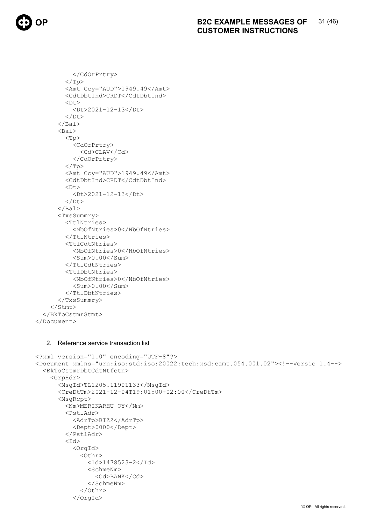```
 </CdOrPrtry> 
         \langleTp>
          <Amt Ccy="AUD">1949.49</Amt> 
          <CdtDbtInd>CRDT</CdtDbtInd> 
         <Dt> <Dt>2021-12-13</Dt> 
         \langle/Dt\rangle\langleBal>
        <Bal> 
         <Tp> <CdOrPrtry> 
               <Cd>CLAV</Cd> 
             </CdOrPrtry> 
         \langleTp>
          <Amt Ccy="AUD">1949.49</Amt> 
          <CdtDbtInd>CRDT</CdtDbtInd> 
         <Dt> <Dt>2021-12-13</Dt> 
         \langle/Dt\rangle\langle/Bal>
        <TxsSummry> 
          <TtlNtries> 
             <NbOfNtries>0</NbOfNtries> 
         \langle/TtlNtries>
          <TtlCdtNtries> 
             <NbOfNtries>0</NbOfNtries> 
             <Sum>0.00</Sum> 
          </TtlCdtNtries> 
          <TtlDbtNtries> 
             <NbOfNtries>0</NbOfNtries> 
             <Sum>0.00</Sum> 
          </TtlDbtNtries> 
        </TxsSummry> 
     </Stmt> 
   </BkToCstmrStmt> 
</Document>
```
# 2. Reference service transaction list

```
<?xml version="1.0" encoding="UTF-8"?> 
<Document xmlns="urn:iso:std:iso:20022:tech:xsd:camt.054.001.02"><!--Versio 1.4--> 
   <BkToCstmrDbtCdtNtfctn> 
     <GrpHdr> 
       <MsgId>TL1205.11901133</MsgId> 
       <CreDtTm>2021-12-04T19:01:00+02:00</CreDtTm> 
       <MsgRcpt> 
         <Nm>MERIKARHU OY</Nm> 
          <PstlAdr> 
            <AdrTp>BIZZ</AdrTp> 
            <Dept>0000</Dept> 
          </PstlAdr> 
         <Td>
            <OrgId> 
              <Othr> 
                <Id>1478523-2</Id> 
                <SchmeNm> 
                   <Cd>BANK</Cd> 
                </SchmeNm> 
              </Othr> 
            </OrgId>
```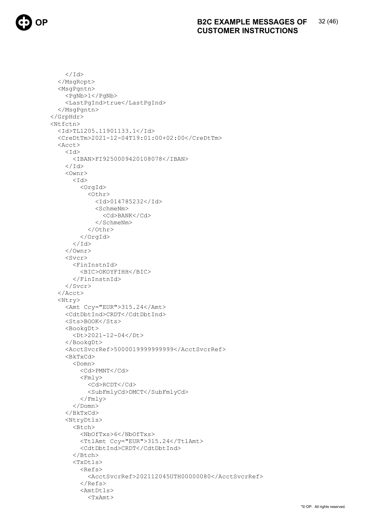```
\langle /Id \rangle</MsgRcpt>
  <MsgPgntn>
    <PqNb>1</PqNb>
    <LastPqInd>true</LastPqInd>
  </MsqPqntn>
</GrpHdr>
<Ntfctn>
  <Id>TL1205.11901133.1</Id>
  <CreDtTm>2021-12-04T19:01:00+02:00</CreDtTm>
  <Acct>
    <Id>
       <IBAN>FI9250009420108078</IBAN>
    \langle /Id \rangle<Ownr>
       <Id>
         <OrgId>
           <0thr>
              <Id>014785232</Id>
              <SchmeNm>
                <Cd>BANK</Cd>
              </SchmeNm>
           \langle/0thr>
         \langle/OrqId>
       \langle/Id>
    \langle/Ownr>
    <Svcr>
       <FinInstnId>
         <BIC>OKOYFIHH</BIC>
       </FinInstnId>
    \langle/Svcr>
  \langleAcct>
  <Ntry>
    <Amt Ccy="EUR">315.24</Amt>
    <CdtDbtInd>CRDT</CdtDbtInd>
    <Sts>BOOK</Sts>
    <BookgDt>
       <Dt>2021-12-04</Dt>
    </BookgDt>
    <AcctSvcrRef>5000019999999999</AcctSvcrRef>
    <sub>BkTxCd</sub></sub>
       <Domn>
         <Cd>PMNT</Cd>
         <Fmly>
           <Cd>RCDT</Cd>
           <SubFmlyCd>DMCT</SubFmlyCd>
         \langle/Fmly>
       \langle/Domn>
    \langle/BkTxCd>
    <NtryDtls>
       (Rtch)<Nb0fTxs>6</Nb0fTxs>
         <TtlAmt Ccy="EUR">315.24</TtlAmt>
         <CdtDbtInd>CRDT</CdtDbtInd>
       \langle/Btch>
       <TxDtls>
         <sub>Refs</sub></sub>
           <AcctSvcrRef>202112045UTH00000080</AcctSvcrRef>
         \langle/Refs>
         <AmtDtls>
           <TxAmt>
```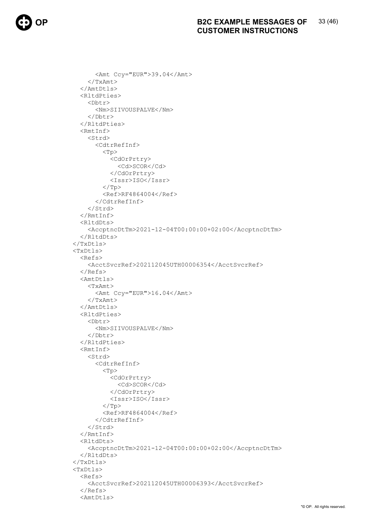<Amt Ccy="EUR">39.04</Amt> </TxAmt> </AmtDtls> <RltdPties> <Dbtr> <Nm>SIIVOUSPALVE</Nm> </Dbtr> </RltdPties> <RmtInf> <Strd> <CdtrRefInf> <Tp> <CdOrPrtry> <Cd>SCOR</Cd> </CdOrPrtry> <Issr>ISO</Issr>  $\langle$ Tp>  $<$ Ref>RF4864004</Ref> </CdtrRefInf> </Strd> </RmtInf> <RltdDts> <AccptncDtTm>2021-12-04T00:00:00+02:00</AccptncDtTm> </RltdDts>  $\langle$ /TxDtls> <TxDtls> <Refs> <AcctSvcrRef>202112045UTH00006354</AcctSvcrRef> </Refs> <AmtDtls> <TxAmt> <Amt Ccy="EUR">16.04</Amt> </TxAmt> </AmtDtls> <RltdPties> <Dbtr> <Nm>SIIVOUSPALVE</Nm> </Dbtr> </RltdPties> <RmtInf> <Strd> <CdtrRefInf>  $<$ Tp $>$  <CdOrPrtry> <Cd>SCOR</Cd> </CdOrPrtry> <Issr>ISO</Issr>  $\langle$ Tp>  $<$ Ref>RF4864004</Ref> </CdtrRefInf> </Strd> </RmtInf> <RltdDts> <AccptncDtTm>2021-12-04T00:00:00+02:00</AccptncDtTm> </RltdDts> </TxDtls> <TxDtls> <Refs> <AcctSvcrRef>202112045UTH00006393</AcctSvcrRef> </Refs> <AmtDtls>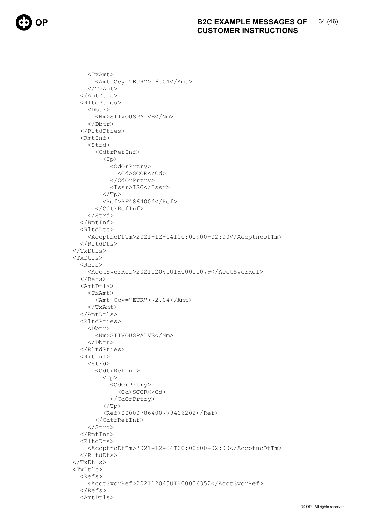<TxAmt> <Amt Ccy="EUR">16.04</Amt>  $<$ /TxAmt> </AmtDtls> <RltdPties> <Dbtr> <Nm>SIIVOUSPALVE</Nm> </Dbtr> </RltdPties> <RmtInf> <Strd> <CdtrRefInf> <Tp> <CdOrPrtry> <Cd>SCOR</Cd> </CdOrPrtry> <Issr>ISO</Issr>  $\langle$ /Tp> <Ref>RF4864004</Ref> </CdtrRefInf> </Strd> </RmtInf> <RltdDts> <AccptncDtTm>2021-12-04T00:00:00+02:00</AccptncDtTm> </RltdDts> </TxDtls> <TxDtls>  $<sub>Refs</sub>$ </sub> <AcctSvcrRef>202112045UTH00000079</AcctSvcrRef> </Refs> <AmtDtls> <TxAmt> <Amt Ccy="EUR">72.04</Amt> </TxAmt> </AmtDtls> <RltdPties> <Dbtr> <Nm>SIIVOUSPALVE</Nm> </Dbtr> </RltdPties> <RmtInf> <Strd> <CdtrRefInf> <Tp> <CdOrPrtry> <Cd>SCOR</Cd> </CdOrPrtry>  $\langle$ Tp> <Ref>00000786400779406202</Ref> </CdtrRefInf> </Strd>  $\langle$ /RmtInf> <RltdDts> <AccptncDtTm>2021-12-04T00:00:00+02:00</AccptncDtTm> </RltdDts> </TxDtls> <TxDtls> <Refs> <AcctSvcrRef>202112045UTH00006352</AcctSvcrRef> </Refs> <AmtDtls>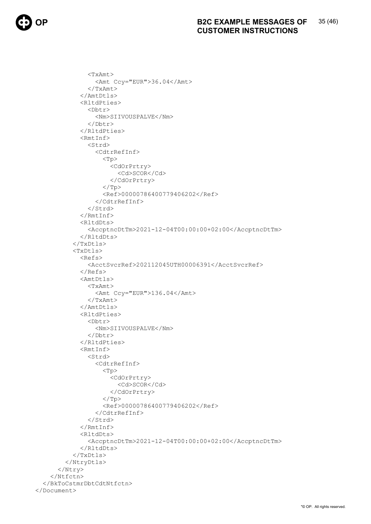<TxAmt> <Amt Ccy="EUR">36.04</Amt>  $<$ /TxAmt> </AmtDtls> <RltdPties> <Dbtr> <Nm>SIIVOUSPALVE</Nm> </Dbtr> </RltdPties> <RmtInf> <Strd> <CdtrRefInf> <Tp> <CdOrPrtry> <Cd>SCOR</Cd> </CdOrPrtry>  $\langle$ /Tp> <Ref>00000786400779406202</Ref> </CdtrRefInf> </Strd> </RmtInf> <RltdDts> <AccptncDtTm>2021-12-04T00:00:00+02:00</AccptncDtTm> </RltdDts>  $\langle$ /TxDtls> <TxDtls> <Refs> <AcctSvcrRef>202112045UTH00006391</AcctSvcrRef> </Refs> <AmtDtls> <TxAmt> <Amt Ccy="EUR">136.04</Amt> </TxAmt> </AmtDtls> <RltdPties> <Dbtr> <Nm>SIIVOUSPALVE</Nm> </Dbtr> </RltdPties> <RmtInf> <Strd> <CdtrRefInf>  $<$ Tp $>$  <CdOrPrtry> <Cd>SCOR</Cd> </CdOrPrtry>  $\langle$ Tp> <Ref>00000786400779406202</Ref> </CdtrRefInf> </Strd>  $\langle$ /RmtInf> <RltdDts> <AccptncDtTm>2021-12-04T00:00:00+02:00</AccptncDtTm> </RltdDts> </TxDtls> </NtryDtls> </Ntry> </Ntfctn> </BkToCstmrDbtCdtNtfctn> </Document>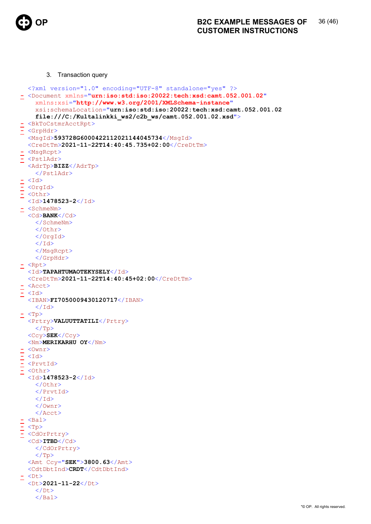

3. Transaction query

```
<?xml version="1.0" encoding="UTF-8" standalone="yes" ?> 
- <Document xmlns="urn:iso:std:iso:20022:tech:xsd:camt.052.001.02"
    xmlns:xsi="http://www.w3.org/2001/XMLSchema-instance"
    xsi:schemaLocation="urn:iso:std:iso:20022:tech:xsd:camt.052.001.02 
    file:///C:/Kultalinkki ws2/c2b ws/camt.052.001.02.xsd">
- <BkToCstmrAcctRpt>
- <GrpHdr>
  <MsqId>593728G6000422112021144045734</MsqId>
  <CreDtTm>2021-11-22T14:40:45.735+02:00</CreDtTm> 
- <MsgRcpt>
- <PstlAdr>
  <AdrTp>BIZZ</AdrTp> 
    </PstlAdr>
- <i>I</i>d>= <OrqId>
= <0thr>
  <Id>1478523-2</Id> 
- <SchmeNm>
  <Cd>BANK</Cd> 
    </SchmeNm>
    \langle/Othr>
    </OrgId>
    \langle/Id>
    </MsgRcpt>
    </GrpHdr>
\leq <Rpt>
  <Id>TAPAHTUMAOTEKYSELY</Id> 
  <CreDtTm>2021-11-22T14:40:45+02:00</CreDtTm> 
 - <Acct>
  <Id><IBAN>FI7050009430120717</IBAN> 
    \langle/Id>
- <Tp>
  <Prtry>VALUUTTATILI</Prtry> 
    \langleTp>
  <Ccy>SEK</Ccy> 
  <Nm>MERIKARHU OY</Nm> 
\leq <0wnr>
- <b>I</b>- <PrvtId>
  - <Othr>
  <Id>1478523-2</Id> 
    </Othr>
    </PrvtId>
    \langle/Id>
    </Ownr>
    </Acct>
\leq <Bal>
\leq \langle \text{Tp}\rangle- <CdOrPrtry>
  <Cd>ITBD</Cd> 
    </CdOrPrtry>
    \langleTp>
  <Amt Ccy="SEK">3800.63</Amt>
  <CdtDbtInd>CRDT</CdtDbtInd> 
- <Dt>
  <Dt>2021-11-22</Dt> 
    \langleDt>
    </Bal>
```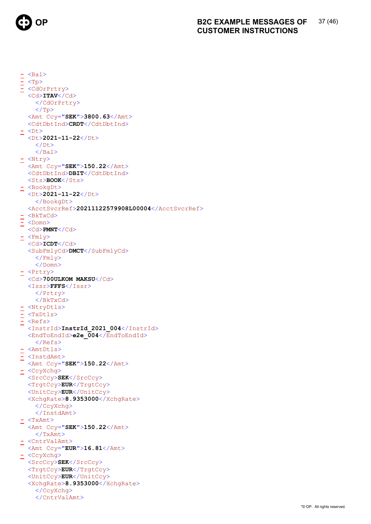

 $\leq$  <Bal>  $<$ Tp>  $\leq$  <CdOrPrtry> <Cd>ITAV</Cd> </CdOrPrtry>  $\langle$ Tp> <Amt Ccy="SEK">3800.63</Amt> <CdtDbtInd>CRDT</CdtDbtInd>  $\leq$  <Dt> <Dt>2021-11-22</Dt>  $\langle$ /Dt>  $\langle$ /Bal>  $\leq$  <Ntry> <Amt Ccy="SEK">150.22</Amt> <CdtDbtInd>DBIT</CdtDbtInd> <Sts>BOOK</Sts> - <BookgDt> <Dt>2021-11-22</Dt> </BookgDt> <AcctSvcrRef>20211122579908L00004</AcctSvcrRef>  $<sub>BkTxCd</sub>$ </sub>  $\overline{-}$  <Domn> <Cd>PMNT</Cd>  $\leq$  <Fmly>  $<ICDT $>c<sub>d</sub>$$ <SubFmlyCd>DMCT</SubFmlyCd>  $\langle$  Fmly>  $\langle$ /Domn>  $\le$  <Prtry> <Cd>700ULKOM MAKSU</Cd>  $<$ Issr>FFFS $<$ /Issr>  $\langle$ /Prtry>  $\langle$ /BkTxCd>  $\leq$  <NtryDtls>  $\leq$  <TxDtls>  $\leq$  <Refs>  $\langle \texttt{InstrId}\rangle$ InstrId\_2021\_004 $\langle \texttt{InstrId}\rangle$  $\leq$ EndToEndId>e2e\_004 $\leq$ EndToEndId>  $\langle / \text{Refs} \rangle$  $\leq$  <AmtDtls> - <InstdAmt> <Amt Ccy="SEK">150.22</Amt> - <CcyXchq> <SrcCcy>SEK</SrcCcy> <TrgtCcy>EUR</TrgtCcy> <UnitCcy>EUR</UnitCcy> <XchqRate>8.9353000</XchqRate> </CcyXchg> </InstdAmt>  $<$ TxAmt $>$ <Amt Ccy="SEK">150.22</Amt>  $\langle$ /TxAmt> - <CntrValAmt> <Amt Ccy="EUR">16.81</Amt> - <CcyXchg> <SrcCcy>SEK</SrcCcy> <TrqtCcy>EUR</TrqtCcy> <UnitCcy>EUR</UnitCcy> <XchqRate>8.9353000</XchqRate> </CcyXchq> </CntrValAmt>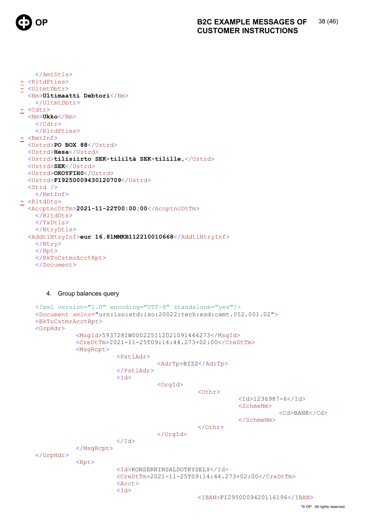

```
</AmtDtls>
- <R1tdPties>
 <UltmtDbtr>
  <Nm>Ultimaatti Debtori</Nm>
    </UltmtDbtr>
\leq <Cdtr>
  \langle Nm \rangleUkko\langle Nm \rangle\langle/Cdtr>
    </RltdPties>
\leq <RmtInf>
  <Ustrd>PO BOX 88</Ustrd>
  <Ustrd>Hesa</Ustrd>
  <Ustrd>tilisiirto SEK-tililtä SEK-tilille,</Ustrd>
  <Ustrd>SEK</Ustrd>
  <Ustrd>OKOYFIH0</Ustrd>
  <Ustrd>FI9250009430120709</Ustrd>
  <Strd /\langle/RmtInf>
- <RltdDts>
  <AccptncDtTm>2021-11-22T00:00:00</AccptncDtTm>
    </RltdDts>
    \langle/TxDtls>
    </NtryDtls>
  <AddtlNtryInf>eur 16.81MMKB112210010668</AddtlNtryInf>
    \langle/Ntry>
    \langle/Rpt>
    </BkToCstmrAcctRpt>
    </Document>
```
### 4. Group balances query

```
<?xml version="1.0" encoding="UTF-8" standalone="yes"?>
<Document xmlns="urn:iso:std:iso:20022:tech:xsd:camt.052.001.02">
<BkToCstmrAcctRpt>
<GrpHdr>
            <MsgId>593728IW000225112021091444273</MsgId>
            <CreDtTm>2021-11-25T09:14:44.273+02:00</CreDtTm>
            <MsgRcpt>
                        <PstlAdr>
                                    <AdrTp>BIZZ</AdrTp>
                        </PstlAdr>
                        <Id>
                                    <OrgId>
                                                \langleOthr>
                                                            <Id>1236987-6</Id>
                                                            <SchmeNm><Cd>BANK</Cd>
                                                            \langle/SchmeNm>
                                                \langle/0thr>
                                    \langle/OrgId>
                        \langle /Id \rangle</MsgRcpt>
\langle/GrpHdr>
            <Rpt>
                        <Id>KONSERNINSALDOTKYSELY</Id>
                        <CreDtTm>2021-11-25T09:14:44.273+02:00</CreDtTm>
                        <Acct>
                        <Id>
                                                <IBAN>FI2950009420116196</IBAN>
```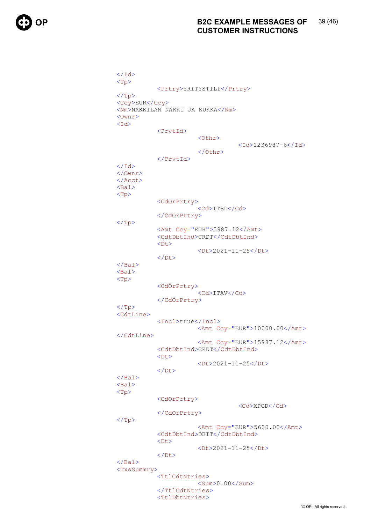$\langle$ /Id>  $<$ Tp> <Prtry>YRITYSTILI</Prtry>  $\langle$ /Tp> <Ccy>EUR</Ccy> <Nm>NAKKILAN NAKKI JA KUKKA</Nm>  $<$ Ownr $>$  $<$ Id $>$ <PrvtId> <0thr>  $<$ Id>1236987-6</Id>  $\langle$ /Othr> </PrvtId>  $\langle$ /Id>  $\langle$ /Ownr>  $\langle$  / Acct>  $<sub>Bal</sub>$ </sub>  $< p$ <CdOrPrtry> <Cd>ITBD</Cd> </CdOrPrtry>  $\langle$ /Tp> <Amt Ccy="EUR">5987.12</Amt> <CdtDbtInd>CRDT</CdtDbtInd>  $\langle$  D+  $>$ <Dt>2021-11-25</Dt>  $\langle$ /Dt>  $\langle$ /Bal>  $<sub>Bal</sub>$ </sub>  $<$ Tp> <CdOrPrtry> <Cd>ITAV</Cd> </CdOrPrtry>  $\langle$ Tp> <CdtLine> <Incl>true</Incl> <Amt Ccy="EUR">10000.00</Amt> </CdtLine> <Amt Ccy="EUR">15987.12</Amt> <CdtDbtInd>CRDT</CdtDbtInd>  $<$ Dt $>$  $<$ Dt>2021-11-25</Dt>  $\langle$ /Dt>  $\langle$ /Bal>  $<sub>Bal</sub>$ </sub>  $< p$ <CdOrPrtry> <Cd>XPCD</Cd> </CdOrPrtry>  $\langle$ /Tp> <Amt  $Ccy="EUR" > 5600.00$ <CdtDbtInd>DBIT</CdtDbtInd>  $<$ Dt $>$ <Dt>2021-11-25</Dt>  $\langle$ /Dt>  $\langle$ /Bal> <TxsSummry> <TtlCdtNtries>  $<$ Sum $>0.00$  / Sum $>$ </TtlCdtNtries> <TtlDbtNtries>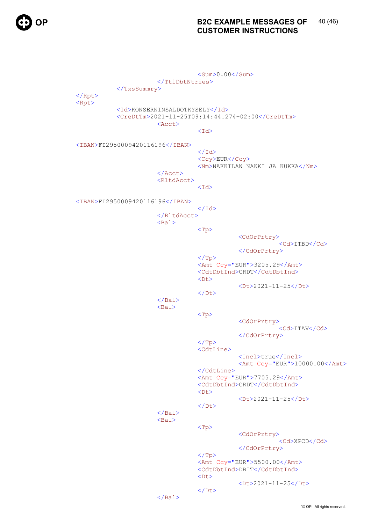

 $<$ Sum $>$ 0.00 $<$ /Sum $>$  $\langle$ /TtlDbtNtries> </TxsSummry>  $\langle$ /Rpt>  $<$ Rpt $>$ <Id>KONSERNINSALDOTKYSELY</Id> <CreDtTm>2021-11-25T09:14:44.274+02:00</CreDtTm> <Acct>  $<$ Id> <IBAN>FI2950009420116196</IBAN>  $\langle$ /Id> <Ccy>EUR</Ccy> <Nm>NAKKILAN NAKKI JA KUKKA</Nm>  $\langle$ /Acct> <RltdAcct>  $<$ Id> <IBAN>FI2950009420116196</IBAN>  $\langle$ /Id>  $\langle$ /RltdAcct>  $<sub>Ba1></sub>$ </sub>  $<$ Tp> <CdOrPrtry> <Cd>ITBD</Cd> </CdOrPrtry>  $\langle$ /Tp> <Amt Ccy="EUR">3205.29</Amt> <CdtDbtInd>CRDT</CdtDbtInd>  $<$ Dt $>$ <Dt>2021-11-25</Dt>  $\langle$ /Dt>  $\langle$ /Bal>  $<sub>Ba1</sub>$ </sub>  $< p$ <CdOrPrtry> <Cd>ITAV</Cd> </CdOrPrtry>  $<$  $(T\triangleright$ <CdtLine> <Incl>true</Incl>  $\lambda$ Amt Ccy="EUR">10000.00</Amt>  $\langle$ /CdtLine> <Amt Ccy="EUR">7705.29</Amt> <CdtDbtInd>CRDT</CdtDbtInd>  $<$ Dt $>$ <Dt>2021-11-25</Dt>  $\langle$ /Dt>  $\langle$ /Bal>  $<$ Bal>  $<$ Tp> <CdOrPrtry>  $<$ Cd>XPCD $<$ /Cd> </CdOrPrtry>  $\langle$ /Tp> <Amt Ccy="EUR">5500.00</Amt> <CdtDbtInd>DBIT</CdtDbtInd>  $<$ Dt $>$ <Dt>2021-11-25</Dt>  $\langle$ /Dt>  $\langle$ /Bal>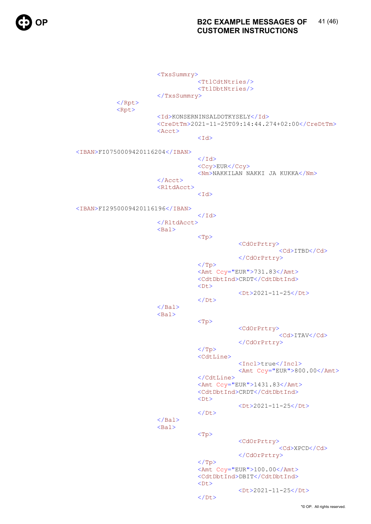<TxsSummry> <TtlCdtNtries/> <TtlDbtNtries/> </TxsSummry> </Rpt> <Rpt> <Id>KONSERNINSALDOTKYSELY</Id> <CreDtTm>2021-11-25T09:14:44.274+02:00</CreDtTm> <Acct>  $<$ Id> <IBAN>FI0750009420116204</IBAN>  $\langle \rangle$ Id $>$ <Ccy>EUR</Ccy> <Nm>NAKKILAN NAKKI JA KUKKA</Nm>  $\langle$ Acct $\rangle$ <RltdAcct>  $<$ Id> <IBAN>FI2950009420116196</IBAN>  $\langle \rangle$ Id $>$  </RltdAcct> <Bal>  $<$ Tp $>$  <CdOrPrtry> <Cd>ITBD</Cd> </CdOrPrtry>  $\langle$  Tp> <Amt Ccy="EUR">731.83</Amt> <CdtDbtInd>CRDT</CdtDbtInd> ーンのサイトをつけることになっている。<br>- インターのサイトをつけることになっている。<br>- インターのサイトをつけることになっている。 <Dt>2021-11-25</Dt>  $\langle$ Dt>  $\langle$ /Bal $\rangle$ <Bal>  $<$ Tp $>$  <CdOrPrtry> <Cd>ITAV</Cd> </CdOrPrtry>  $\rm{<} / \rm{Tp}$ <CdtLine> <Incl>true</Incl> <Amt Ccy="EUR">800.00</Amt> </CdtLine> <Amt Ccy="EUR">1431.83</Amt> <CdtDbtInd>CRDT</CdtDbtInd> ーンのサイトをつけることになっている。<br>- インターのサイトをつけることになっている。<br>- インターのサイトをつけることになっている。  $<2021-11-25$ ーンのサイトをつける しょうしょう くんじょう くんじょう くんじょう くんじょう しょうしょう くんじょう しょうしょう しょうしょう しょうしょう しょうしょう しょうしょう しょうしょう しょうしょう しょうしょう  $\langle$ /Bal $\rangle$  $<$ Bal>  $<$ Tp $>$  <CdOrPrtry> <Cd>XPCD</Cd> </CdOrPrtry>  $\langle$ Tp> <Amt Ccy="EUR">100.00</Amt> <CdtDbtInd>DBIT</CdtDbtInd> ーンのサイトをつけることになっている。<br>- インターのサイトをつけることになっている。<br>- インターのサイトをつけることになっている。 <Dt>2021-11-25</Dt> ーンのサイトをつける しょうしょう くんじょう しょうしょう くんじょう しょうしょう しょうしょう しょうしょう しょうしょう しょうしょう しょうしょう しょうしょう しょうしょう しょうしょう しょうしょう しょうしょう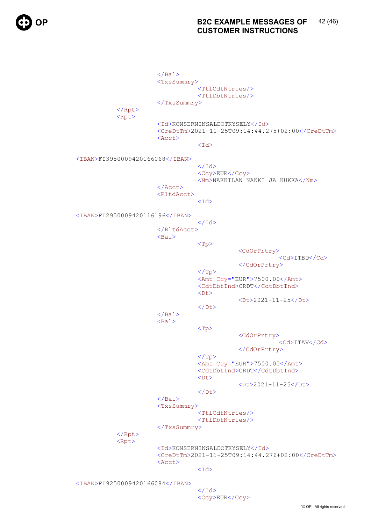$\langle$ Bal> <TxsSummry> <TtlCdtNtries/> <TtlDbtNtries/> </TxsSummry> </Rpt> <Rpt> <Id>KONSERNINSALDOTKYSELY</Id> <CreDtTm>2021-11-25T09:14:44.275+02:00</CreDtTm> <Acct>  $<$ Id> <IBAN>FI3950009420166068</IBAN>  $\langle \rangle$ Id $>$ <Ccy>EUR</Ccy> <Nm>NAKKILAN NAKKI JA KUKKA</Nm>  $\langle$ Acct $\rangle$ <RltdAcct>  $<$ Id> <IBAN>FI2950009420116196</IBAN>  $\langle \rangle$ Id $>$  </RltdAcct>  $<sub>Ba1></sub>$ </sub>  $<$ Tp> <CdOrPrtry> <Cd>ITBD</Cd> </CdOrPrtry>  $\rm{<} / \rm{Tp}$ <Amt Ccy="EUR">7500.00</Amt> <CdtDbtInd>CRDT</CdtDbtInd> ーンのサイトをつけることになっている。<br>- インターのサイトをつけることになっている。<br>- インターのサイトをつけることになっている。 <Dt>2021-11-25</Dt> ーンのサイトをつける しょうしょう くんじょう くんじょう くんじょう くんじょう しょうしょう くんじょう しょうしょう しょうしょう しょうしょう しょうしょう しょうしょう しょうしょう しょうしょう しょうしょう  $\langle$ Bal> <Bal>  $<$ Tp $>$  <CdOrPrtry> <Cd>ITAV</Cd> </CdOrPrtry>  $\langle$ Tp> <Amt Ccy="EUR">7500.00</Amt> <CdtDbtInd>CRDT</CdtDbtInd> ーンのサイトをつけることになっている。<br>- インターのサイトをつけることになっている。<br>- インターのサイトをつけることになっている。 <Dt>2021-11-25</Dt> く/Dt><br>ペイン<br>インフィン  $\langle$ /Bal> <TxsSummry> <TtlCdtNtries/> <TtlDbtNtries/> </TxsSummry> </Rpt>  $<$ Rpt $>$  <Id>KONSERNINSALDOTKYSELY</Id> <CreDtTm>2021-11-25T09:14:44.276+02:00</CreDtTm> <Acct>  $<$ Id> <IBAN>FI9250009420166084</IBAN>  $\langle \rangle$ Id $>$ 

<Ccy>EUR</Ccy>

"© OP. All rights reserved.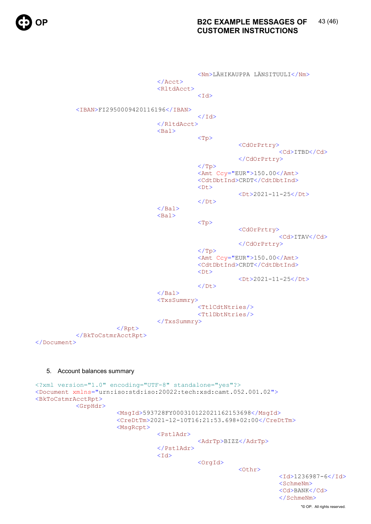```
 <Nm>LÄHIKAUPPA LÄNSITUULI</Nm>
                                </Acct>
                               <RltdAcct>
<Id>
          <IBAN>FI2950009420116196</IBAN>
\langle \rangleId> </RltdAcct>
                               <Bal>
<Tp> <CdOrPrtry>
                                                               <Cd>ITBD</Cd>
                                                    </CdOrPrtry>
\rm{<} / \rm{Tp}\rm{>}<Amt Ccy="EUR">150.00</Amt>
                                          <CdtDbtInd>CRDT</CdtDbtInd>
ーンのサイトをつけることになっています。<br>- インターのサイトをつけることになっています。<br>- インターのサイトをつけることになっています。
                                          <Dt>2021-11-25</Dt>
く/Dt><br>ペイン<br>インフィン
                               \langle/Bal\rangle<Bal>
<Tp>
                                                    <CdOrPrtry>
                                                               <Cd>ITAV</Cd>
                                                    </CdOrPrtry>
                                         \langleTp>
                                         <Amt Ccy="EUR">150.00</Amt>
                                          <CdtDbtInd>CRDT</CdtDbtInd>
ーンのサイトをつけることになっています。<br>- インターのサイトをつけることになっています。<br>- インターのサイトをつけることになっています。
                                          <Dt>2021-11-25</Dt>
ーンのサイトをつける しょうしょう くんじょう くんじょう くんじょう くんじょう しょうしょう くんじょう しょうしょう しょうしょう しょうしょう しょうしょう しょうしょう しょうしょう しょうしょう しょうしょう
                               </Bal><TxsSummry>
                                          <TtlCdtNtries/>
                                         <TtlDbtNtries/>
                                </TxsSummry>
                    \langle Rpt\rangle</BkToCstmrAcctRpt>
</Document>
  5. Account balances summary 
<?xml version="1.0" encoding="UTF-8" standalone="yes"?>
<Document xmlns="urn:iso:std:iso:20022:tech:xsd:camt.052.001.02">
<BkToCstmrAcctRpt>
          <GrpHdr>
                     <MsgId>593728FY000310122021162153698</MsgId>
```

```
 <CreDtTm>2021-12-10T16:21:53.698+02:00</CreDtTm>
 <MsgRcpt>
```
<PstlAdr>

<AdrTp>BIZZ</AdrTp>

```
 </PstlAdr>
<Id>
```
<OrgId>

 $<$ Othr $>$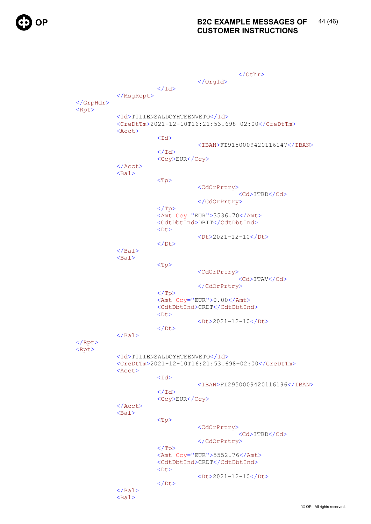$\langle$  /0thr> </OrgId>  $\langle$ /Id> </MsgRcpt> </GrpHdr>  $<$ Rpt $>$  <Id>TILIENSALDOYHTEENVETO</Id> <CreDtTm>2021-12-10T16:21:53.698+02:00</CreDtTm> <Acct>  $<$ Id $>$  <IBAN>FI9150009420116147</IBAN>  $\langle$ /Id> <Ccy>EUR</Ccy> </Acct>  $<sub>Ba1</sub>$ </sub> <Tp> <CdOrPrtry> <Cd>ITBD</Cd> </CdOrPrtry>  $\langle$ Tp> <Amt Ccy="EUR">3536.70</Amt> <CdtDbtInd>DBIT</CdtDbtInd> ーンステックスのコンプロセッサージをつける しょうしょう くりもく しょうしょう <Dt>2021-12-10</Dt>  $\langle$ /Dt $\rangle$  $\langle$ /Bal $\rangle$  <Bal> <Tp> <CdOrPrtry> <Cd>ITAV</Cd> </CdOrPrtry>  $\langle$ Tp> <Amt Ccy="EUR">0.00</Amt> <CdtDbtInd>CRDT</CdtDbtInd> ーンステックスのコンプロセッサージをつける しょうしょう くりもく しょうしょう <Dt>2021-12-10</Dt>  $\langle$ Dt>  $\langle$ /Bal $\rangle$ </Rpt> <Rpt> <Id>TILIENSALDOYHTEENVETO</Id> <CreDtTm>2021-12-10T16:21:53.698+02:00</CreDtTm> <Acct>  $<$ Id> <IBAN>FI2950009420116196</IBAN>  $\langle$ /Id> <Ccy>EUR</Ccy> </Acct>  $<$ Bal $>$  <Tp> <CdOrPrtry> <Cd>ITBD</Cd> </CdOrPrtry>  $\langle$ Tp> <Amt Ccy="EUR">5552.76</Amt> <CdtDbtInd>CRDT</CdtDbtInd> <Dt> <Dt>2021-12-10</Dt>  $\langle$ Dt>  $\langle$ /Bal $\rangle$ <Bal>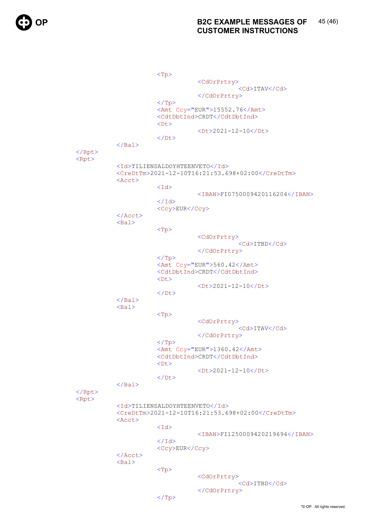<Tp> <CdOrPrtry> <Cd>ITAV</Cd> </CdOrPrtry>  $\langle$ Tp> <Amt Ccy="EUR">15552.76</Amt> <CdtDbtInd>CRDT</CdtDbtInd> <Dt> <Dt>2021-12-10</Dt>  $\langle$ Dt>  $\langle$ /Bal $\rangle$ </Rpt> <Rpt> <Id>TILIENSALDOYHTEENVETO</Id> <CreDtTm>2021-12-10T16:21:53.698+02:00</CreDtTm> <Acct>  $<$ Id> <IBAN>FI0750009420116204</IBAN>  $\langle$ /Id> <Ccy>EUR</Ccy>  $\langle$ Acct $\rangle$  $<$ Bal $>$  <Tp> <CdOrPrtry> <Cd>ITBD</Cd> </CdOrPrtry>  $\langle$ Tp> <Amt Ccy="EUR">560.42</Amt> <CdtDbtInd>CRDT</CdtDbtInd> <Dt> <Dt>2021-12-10</Dt>  $\langle$ Dt>  $\langle$ /Bal $\rangle$  <Bal> <Tp> <CdOrPrtry> <Cd>ITAV</Cd> </CdOrPrtry>  $\langle$ Tp> <Amt Ccy="EUR">1360.42</Amt> <CdtDbtInd>CRDT</CdtDbtInd> <Dt> <Dt>2021-12-10</Dt>  $\langle$ Dt>  $\langle$ /Bal> </Rpt> <Rpt> <Id>TILIENSALDOYHTEENVETO</Id> <CreDtTm>2021-12-10T16:21:53.698+02:00</CreDtTm> <Acct>  $<$ Id $>$  <IBAN>FI1250009420219694</IBAN>  $\langle$ /Id> <Ccy>EUR</Ccy>  $\langle$ Acct> <Bal>  $\langle {\rm Tp}\rangle$  <CdOrPrtry> <Cd>ITBD</Cd> </CdOrPrtry>  $\langle$ Tp>